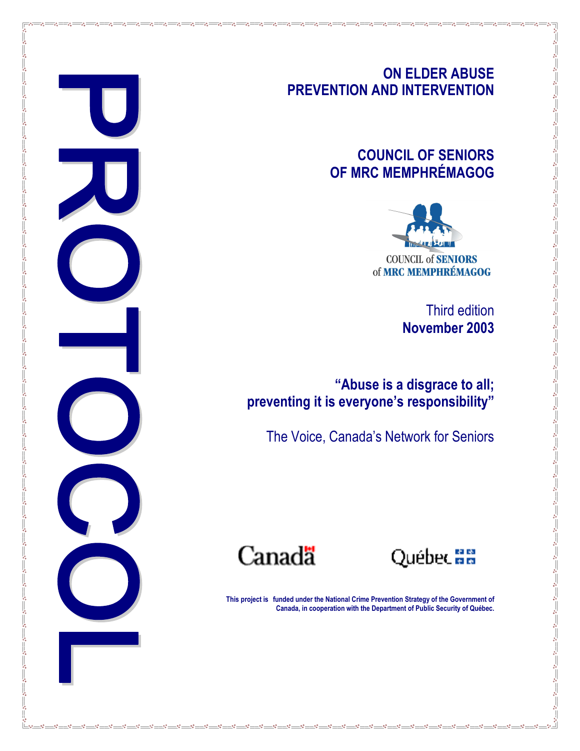# ON ELDER ABUSE PREVENTION AND INTERVENTION

# COUNCIL OF SENIORS OF MRC MEMPHRÉMAGOG



Third edition November 2003

"Abuse is a disgrace to all; preventing it is everyone's responsibility"

The Voice, Canada's Network for Seniors

Canadä

<u>.</u> . . . .

 $-88$ 

 $-8^{\circ}$  $-82$  $\sim$  $\sim$  $-82$ 

Québec am

This project is funded under the National Crime Prevention Strategy of the Government of Canada, in cooperation with the Department of Public Security of Québec.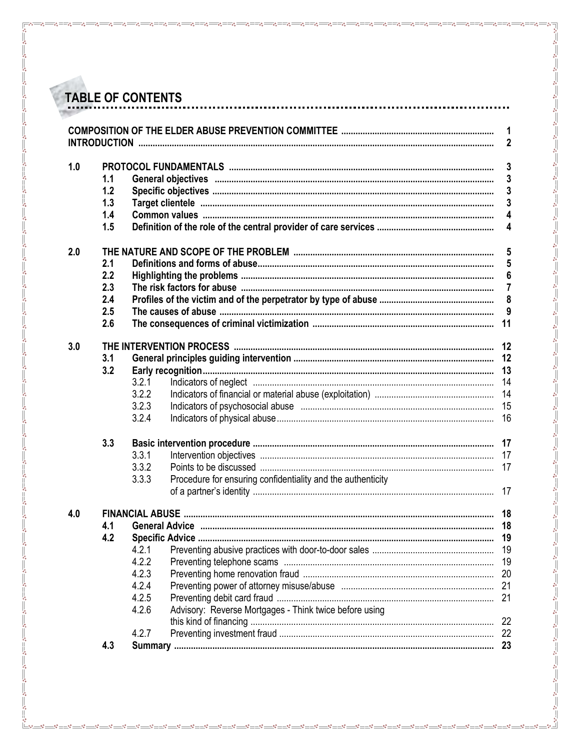|     |     |       |                                                             | 1<br>2   |  |
|-----|-----|-------|-------------------------------------------------------------|----------|--|
| 1.0 |     |       |                                                             | 3        |  |
|     | 1.1 |       |                                                             | 3        |  |
|     | 1.2 |       |                                                             | 3        |  |
|     | 1.3 |       |                                                             |          |  |
|     | 1.4 |       |                                                             |          |  |
|     | 1.5 |       |                                                             |          |  |
| 2.0 |     |       |                                                             | 5        |  |
|     | 2.1 |       |                                                             |          |  |
|     | 2.2 |       |                                                             |          |  |
|     | 2.3 |       |                                                             |          |  |
|     | 2.4 |       |                                                             |          |  |
|     | 2.5 |       |                                                             |          |  |
|     | 2.6 |       |                                                             | 11       |  |
| 3.0 |     |       |                                                             |          |  |
|     | 3.1 |       |                                                             | 12       |  |
|     | 3.2 |       |                                                             | 13       |  |
|     |     | 3.2.1 | Indicators of neglect manufactured and anti-                | 14       |  |
|     |     | 3.2.2 |                                                             | 14       |  |
|     |     | 3.2.3 |                                                             | 15       |  |
|     |     | 3.2.4 |                                                             | 16       |  |
|     | 3.3 |       |                                                             | 17       |  |
|     |     | 3.3.1 |                                                             | 17       |  |
|     |     | 3.3.2 |                                                             | 17       |  |
|     |     | 3.3.3 | Procedure for ensuring confidentiality and the authenticity |          |  |
|     |     |       |                                                             |          |  |
| 4.0 | 4.1 |       |                                                             | 18<br>18 |  |
|     | 4.2 |       |                                                             | 19       |  |
|     |     | 4.2.1 |                                                             | 19       |  |
|     |     | 4.2.2 |                                                             | 19       |  |
|     |     | 4.2.3 |                                                             |          |  |
|     |     |       |                                                             | 20       |  |
|     |     | 4.2.4 |                                                             | 21       |  |
|     |     | 4.2.5 |                                                             | 21       |  |
|     |     |       |                                                             |          |  |
|     |     | 4.2.6 | Advisory: Reverse Mortgages - Think twice before using      |          |  |
|     |     | 4.2.7 |                                                             | 22       |  |

 $^{80}_{\circ} - ^{80}_{\circ}$ 

 $\degree$ 

 $-8^{\circ} - 8^{\circ} - 8^{\circ}$ 

 $\frac{5}{2}$ 

 $\frac{8}{60}$   $\frac{8}{60}$   $\frac{8}{60}$ 

 $\frac{8}{60}$   $\frac{8}{60}$   $\frac{8}{60}$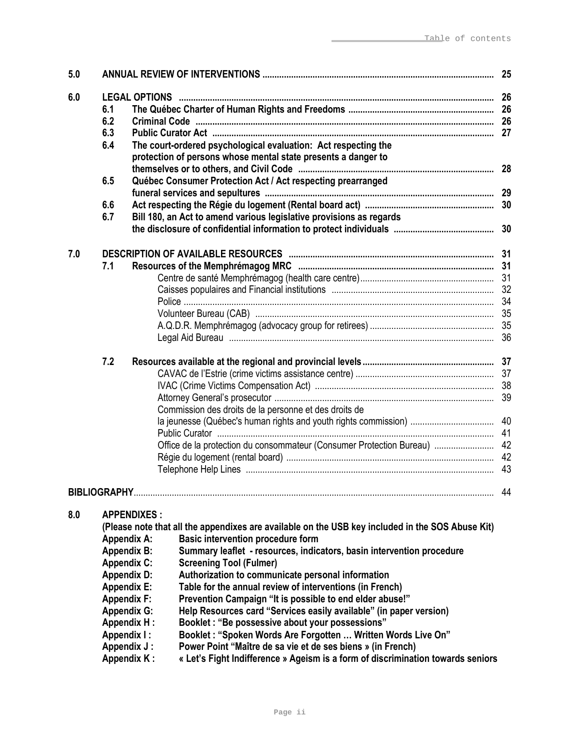| 5.0 |                                                                                                                                                                                      |                                                                                                                                                                                                                                                                                                                                                                                                                                                                                                                                                                                                                                                                                                                                                                                                                                                    |    |
|-----|--------------------------------------------------------------------------------------------------------------------------------------------------------------------------------------|----------------------------------------------------------------------------------------------------------------------------------------------------------------------------------------------------------------------------------------------------------------------------------------------------------------------------------------------------------------------------------------------------------------------------------------------------------------------------------------------------------------------------------------------------------------------------------------------------------------------------------------------------------------------------------------------------------------------------------------------------------------------------------------------------------------------------------------------------|----|
| 6.0 | 6.1<br>6.2<br>6.3<br>6.4                                                                                                                                                             | The court-ordered psychological evaluation: Act respecting the                                                                                                                                                                                                                                                                                                                                                                                                                                                                                                                                                                                                                                                                                                                                                                                     |    |
|     | 6.5                                                                                                                                                                                  | protection of persons whose mental state presents a danger to<br>Québec Consumer Protection Act / Act respecting prearranged                                                                                                                                                                                                                                                                                                                                                                                                                                                                                                                                                                                                                                                                                                                       |    |
|     | 6.6<br>6.7                                                                                                                                                                           | Bill 180, an Act to amend various legislative provisions as regards                                                                                                                                                                                                                                                                                                                                                                                                                                                                                                                                                                                                                                                                                                                                                                                |    |
|     |                                                                                                                                                                                      |                                                                                                                                                                                                                                                                                                                                                                                                                                                                                                                                                                                                                                                                                                                                                                                                                                                    |    |
| 7.0 | 7.1                                                                                                                                                                                  |                                                                                                                                                                                                                                                                                                                                                                                                                                                                                                                                                                                                                                                                                                                                                                                                                                                    |    |
|     |                                                                                                                                                                                      |                                                                                                                                                                                                                                                                                                                                                                                                                                                                                                                                                                                                                                                                                                                                                                                                                                                    |    |
|     |                                                                                                                                                                                      |                                                                                                                                                                                                                                                                                                                                                                                                                                                                                                                                                                                                                                                                                                                                                                                                                                                    |    |
|     |                                                                                                                                                                                      |                                                                                                                                                                                                                                                                                                                                                                                                                                                                                                                                                                                                                                                                                                                                                                                                                                                    |    |
|     |                                                                                                                                                                                      |                                                                                                                                                                                                                                                                                                                                                                                                                                                                                                                                                                                                                                                                                                                                                                                                                                                    |    |
|     |                                                                                                                                                                                      |                                                                                                                                                                                                                                                                                                                                                                                                                                                                                                                                                                                                                                                                                                                                                                                                                                                    |    |
|     | 7.2                                                                                                                                                                                  |                                                                                                                                                                                                                                                                                                                                                                                                                                                                                                                                                                                                                                                                                                                                                                                                                                                    |    |
|     |                                                                                                                                                                                      |                                                                                                                                                                                                                                                                                                                                                                                                                                                                                                                                                                                                                                                                                                                                                                                                                                                    |    |
|     |                                                                                                                                                                                      |                                                                                                                                                                                                                                                                                                                                                                                                                                                                                                                                                                                                                                                                                                                                                                                                                                                    |    |
|     |                                                                                                                                                                                      |                                                                                                                                                                                                                                                                                                                                                                                                                                                                                                                                                                                                                                                                                                                                                                                                                                                    |    |
|     |                                                                                                                                                                                      | Commission des droits de la personne et des droits de                                                                                                                                                                                                                                                                                                                                                                                                                                                                                                                                                                                                                                                                                                                                                                                              |    |
|     |                                                                                                                                                                                      |                                                                                                                                                                                                                                                                                                                                                                                                                                                                                                                                                                                                                                                                                                                                                                                                                                                    |    |
|     |                                                                                                                                                                                      |                                                                                                                                                                                                                                                                                                                                                                                                                                                                                                                                                                                                                                                                                                                                                                                                                                                    |    |
|     |                                                                                                                                                                                      | Office de la protection du consommateur (Consumer Protection Bureau)  42                                                                                                                                                                                                                                                                                                                                                                                                                                                                                                                                                                                                                                                                                                                                                                           |    |
|     |                                                                                                                                                                                      |                                                                                                                                                                                                                                                                                                                                                                                                                                                                                                                                                                                                                                                                                                                                                                                                                                                    |    |
|     |                                                                                                                                                                                      |                                                                                                                                                                                                                                                                                                                                                                                                                                                                                                                                                                                                                                                                                                                                                                                                                                                    |    |
|     | <b>BIBLIOGRAPHY</b>                                                                                                                                                                  |                                                                                                                                                                                                                                                                                                                                                                                                                                                                                                                                                                                                                                                                                                                                                                                                                                                    | 44 |
| 8.0 | <b>Appendix A:</b><br><b>Appendix B:</b><br><b>Appendix C:</b><br><b>Appendix D:</b><br><b>Appendix E:</b><br><b>Appendix F:</b><br><b>Appendix G:</b><br>Appendix I:<br>Appendix J: | <b>APPENDIXES:</b><br>(Please note that all the appendixes are available on the USB key included in the SOS Abuse Kit)<br><b>Basic intervention procedure form</b><br>Summary leaflet - resources, indicators, basin intervention procedure<br><b>Screening Tool (Fulmer)</b><br>Authorization to communicate personal information<br>Table for the annual review of interventions (in French)<br>Prevention Campaign "It is possible to end elder abuse!"<br>Help Resources card "Services easily available" (in paper version)<br>Booklet : "Be possessive about your possessions"<br><b>Appendix H:</b><br>Booklet: "Spoken Words Are Forgotten  Written Words Live On"<br>Power Point "Maître de sa vie et de ses biens » (in French)<br><b>Appendix K:</b><br>« Let's Fight Indifference » Ageism is a form of discrimination towards seniors |    |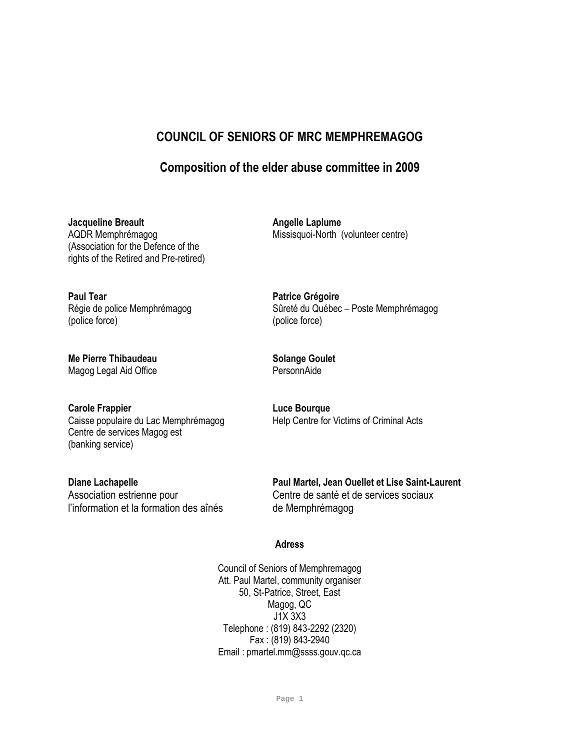# COUNCIL OF SENIORS OF MRC MEMPHREMAGOG

# Composition of the elder abuse committee in 2009

Jacqueline Breault<br>
AQDR Memphrémagog<br>
AQDR Memphrémagog<br>
ANSSISQUOI-North (Missisquoi-North (Missisquoi-North (Missisquoi-North ) (Association for the Defence of the rights of the Retired and Pre-retired)

Paul Tear **Paul Tear Access** Patrice Grégoire (police force) (police force)

Me Pierre Thibaudeau Solange Goulet<br>
Magog Legal Aid Office<br>
SersonnAide Magog Legal Aid Office

Carole Frappier **Carole Francisco Carole Francisco Carole Carole Carole Francisco Carole Carole Carole Carole C** Centre de services Magog est (banking service)

l'information et la formation des aînés de Memphrémagog

Missisquoi-North (volunteer centre)

Régie de police Memphrémagog Sûreté du Québec – Poste Memphrémagog

Caisse populaire du Lac Memphrémagog Help Centre for Victims of Criminal Acts

Diane Lachapelle **Paul Martel, Jean Ouellet et Lise Saint-Laurent** Association estrienne pour example of Centre de santé et de services sociaux

#### Adress

Council of Seniors of Memphremagog Att. Paul Martel, community organiser 50, St-Patrice, Street, East Magog, QC J1X 3X3 Telephone : (819) 843-2292 (2320) Fax : (819) 843-2940 Email : pmartel.mm@ssss.gouv.qc.ca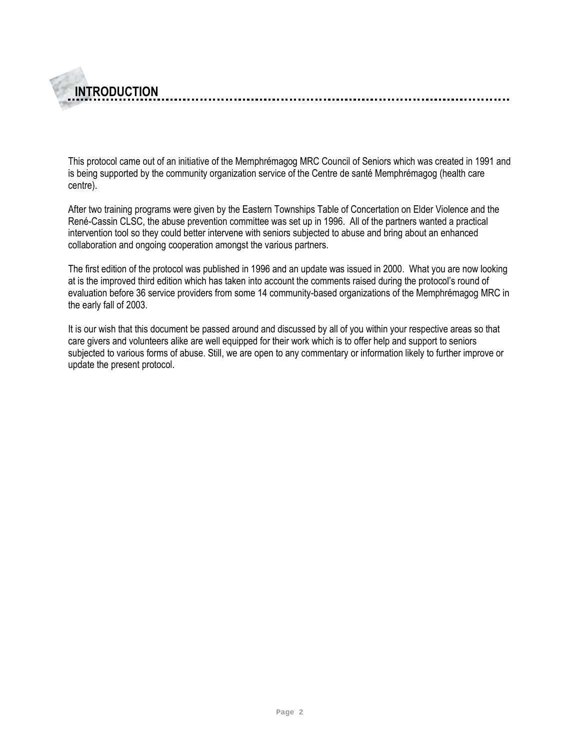This protocol came out of an initiative of the Memphrémagog MRC Council of Seniors which was created in 1991 and is being supported by the community organization service of the Centre de santé Memphrémagog (health care centre).

INTRODUCTION

After two training programs were given by the Eastern Townships Table of Concertation on Elder Violence and the René-Cassin CLSC, the abuse prevention committee was set up in 1996. All of the partners wanted a practical intervention tool so they could better intervene with seniors subjected to abuse and bring about an enhanced collaboration and ongoing cooperation amongst the various partners.

The first edition of the protocol was published in 1996 and an update was issued in 2000. What you are now looking at is the improved third edition which has taken into account the comments raised during the protocol's round of evaluation before 36 service providers from some 14 community-based organizations of the Memphrémagog MRC in the early fall of 2003.

It is our wish that this document be passed around and discussed by all of you within your respective areas so that care givers and volunteers alike are well equipped for their work which is to offer help and support to seniors subjected to various forms of abuse. Still, we are open to any commentary or information likely to further improve or update the present protocol.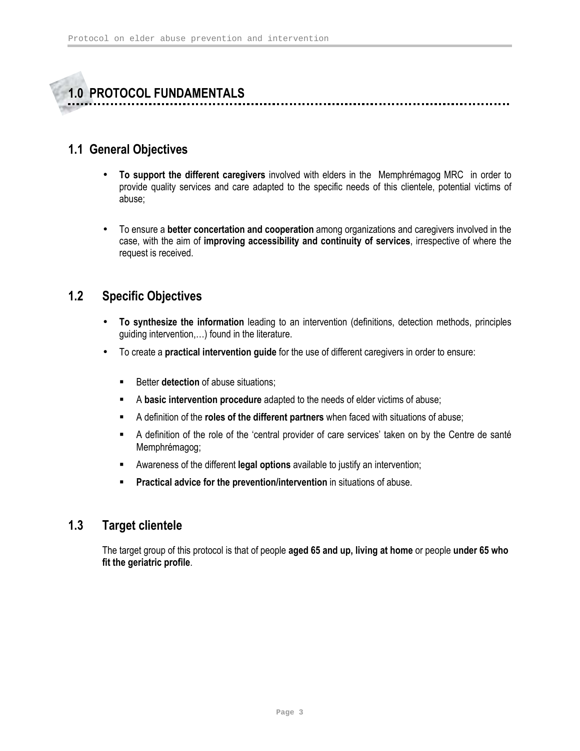

# 1.1 General Objectives

- To support the different caregivers involved with elders in the Memphrémagog MRC in order to provide quality services and care adapted to the specific needs of this clientele, potential victims of abuse;
- To ensure a better concertation and cooperation among organizations and caregivers involved in the case, with the aim of improving accessibility and continuity of services, irrespective of where the request is received.

# 1.2 Specific Objectives

- To synthesize the information leading to an intervention (definitions, detection methods, principles guiding intervention,…) found in the literature.
- To create a practical intervention guide for the use of different caregivers in order to ensure:
	- Better **detection** of abuse situations:
	- A basic intervention procedure adapted to the needs of elder victims of abuse;
	- A definition of the roles of the different partners when faced with situations of abuse;
	- A definition of the role of the 'central provider of care services' taken on by the Centre de santé Memphrémagog;
	- **EXECT** Awareness of the different legal options available to justify an intervention;
	- **Practical advice for the prevention/intervention in situations of abuse.**

# 1.3 Target clientele

The target group of this protocol is that of people aged 65 and up, living at home or people under 65 who fit the geriatric profile.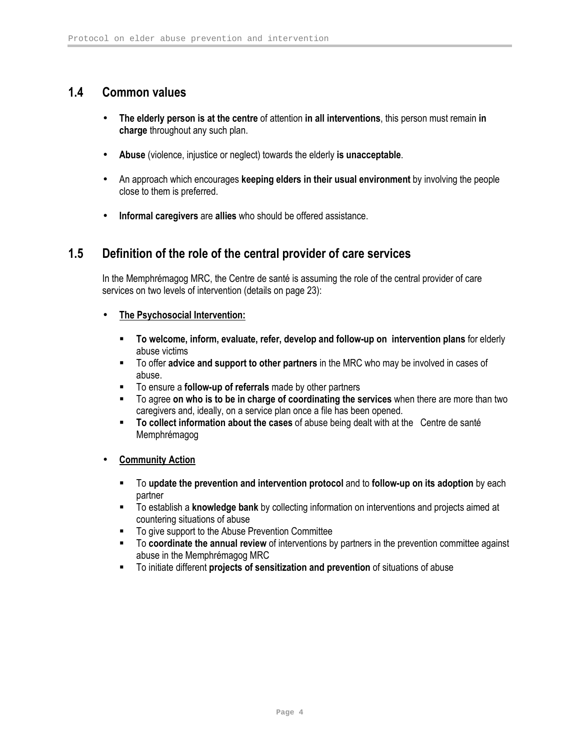# 1.4 Common values

- The elderly person is at the centre of attention in all interventions, this person must remain in charge throughout any such plan.
- Abuse (violence, injustice or neglect) towards the elderly is unacceptable.
- An approach which encourages keeping elders in their usual environment by involving the people close to them is preferred.
- Informal caregivers are allies who should be offered assistance.

# 1.5 Definition of the role of the central provider of care services

In the Memphrémagog MRC, the Centre de santé is assuming the role of the central provider of care services on two levels of intervention (details on page 23):

- The Psychosocial Intervention:
	- To welcome, inform, evaluate, refer, develop and follow-up on intervention plans for elderly abuse victims
	- To offer advice and support to other partners in the MRC who may be involved in cases of abuse.
	- To ensure a **follow-up of referrals** made by other partners
	- To agree on who is to be in charge of coordinating the services when there are more than two caregivers and, ideally, on a service plan once a file has been opened.
	- " To collect information about the cases of abuse being dealt with at the Centre de santé Memphrémagog
- Community Action
	- To update the prevention and intervention protocol and to follow-up on its adoption by each partner
	- To establish a knowledge bank by collecting information on interventions and projects aimed at countering situations of abuse
	- To give support to the Abuse Prevention Committee
	- To coordinate the annual review of interventions by partners in the prevention committee against abuse in the Memphrémagog MRC
	- To initiate different projects of sensitization and prevention of situations of abuse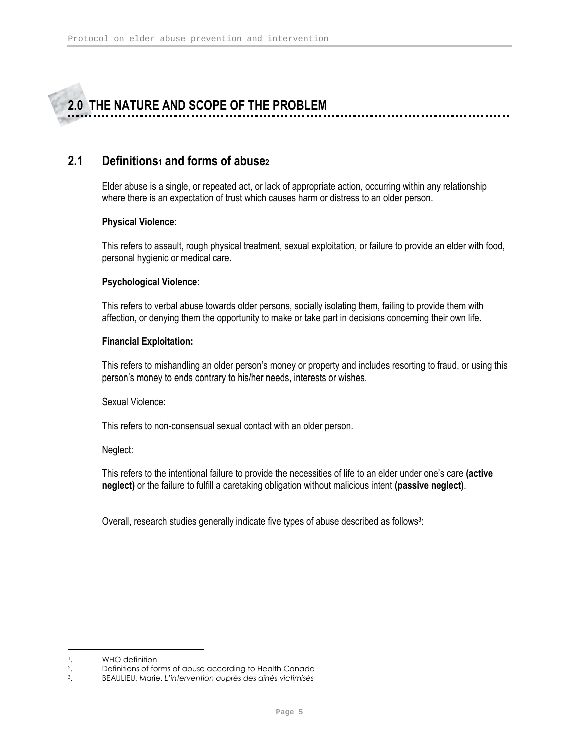# 2.0 THE NATURE AND SCOPE OF THE PROBLEM

# 2.1 Definitions<sub>1</sub> and forms of abusez

Elder abuse is a single, or repeated act, or lack of appropriate action, occurring within any relationship where there is an expectation of trust which causes harm or distress to an older person.

#### Physical Violence:

This refers to assault, rough physical treatment, sexual exploitation, or failure to provide an elder with food, personal hygienic or medical care.

#### Psychological Violence:

This refers to verbal abuse towards older persons, socially isolating them, failing to provide them with affection, or denying them the opportunity to make or take part in decisions concerning their own life.

#### Financial Exploitation:

This refers to mishandling an older person's money or property and includes resorting to fraud, or using this person's money to ends contrary to his/her needs, interests or wishes.

Sexual Violence:

This refers to non-consensual sexual contact with an older person.

#### Neglect:

This refers to the intentional failure to provide the necessities of life to an elder under one's care (active neglect) or the failure to fulfill a caretaking obligation without malicious intent (passive neglect).

Overall, research studies generally indicate five types of abuse described as follows<sup>3</sup>:

<u>.</u>

<sup>&</sup>lt;sup>1</sup>. WHO definition<br><sup>2</sup>. Definitions of for

<sup>&</sup>lt;sup>2</sup>. Definitions of forms of abuse according to Health Canada<sup>3</sup>. BEAULIEU, Marie. *L'intervention auprès des aînés victimisés* 

<sup>3</sup>. BEAULIEU, Marie. L'intervention auprès des aînés victimisés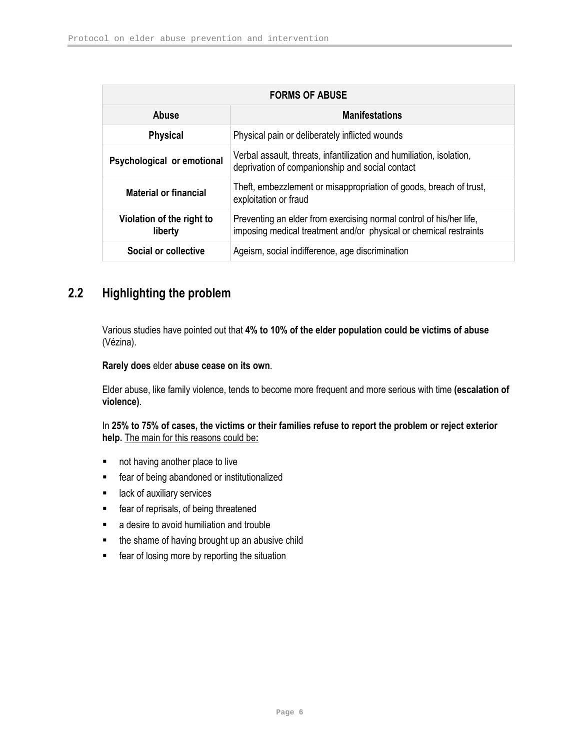| <b>FORMS OF ABUSE</b>                |                                                                                                                                          |  |  |
|--------------------------------------|------------------------------------------------------------------------------------------------------------------------------------------|--|--|
| <b>Manifestations</b><br>Abuse       |                                                                                                                                          |  |  |
| <b>Physical</b>                      | Physical pain or deliberately inflicted wounds                                                                                           |  |  |
| Psychological or emotional           | Verbal assault, threats, infantilization and humiliation, isolation,<br>deprivation of companionship and social contact                  |  |  |
| <b>Material or financial</b>         | Theft, embezzlement or misappropriation of goods, breach of trust,<br>exploitation or fraud                                              |  |  |
| Violation of the right to<br>liberty | Preventing an elder from exercising normal control of his/her life,<br>imposing medical treatment and/or physical or chemical restraints |  |  |
| Social or collective                 | Ageism, social indifference, age discrimination                                                                                          |  |  |

# 2.2 Highlighting the problem

Various studies have pointed out that 4% to 10% of the elder population could be victims of abuse (Vézina).

#### Rarely does elder abuse cease on its own.

Elder abuse, like family violence, tends to become more frequent and more serious with time (escalation of violence).

#### In 25% to 75% of cases, the victims or their families refuse to report the problem or reject exterior help. The main for this reasons could be:

- **not having another place to live**
- **Figure 1** fear of being abandoned or institutionalized
- $\blacksquare$  lack of auxiliary services
- **Far of reprisals, of being threatened**
- **a** desire to avoid humiliation and trouble
- the shame of having brought up an abusive child
- **F** fear of losing more by reporting the situation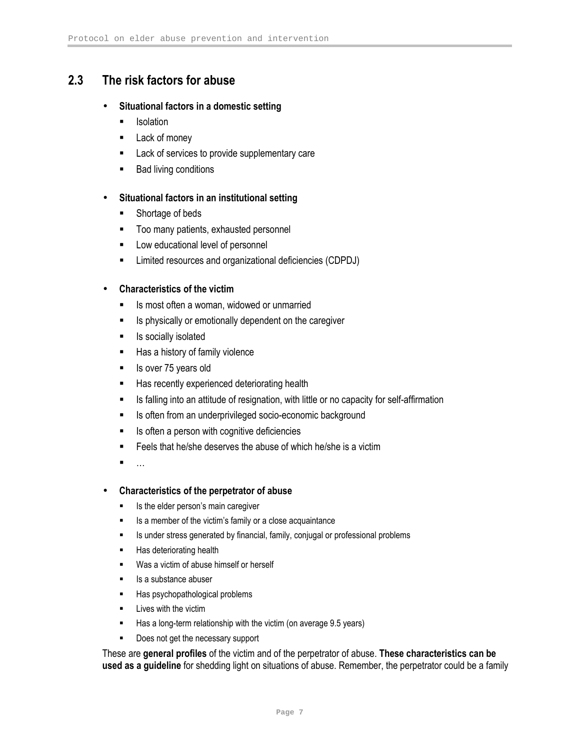# 2.3 The risk factors for abuse

#### • Situational factors in a domestic setting

- **I**solation
- **Lack of money**
- **EXEC** Lack of services to provide supplementary care
- Bad living conditions

#### • Situational factors in an institutional setting

- **Shortage of beds**
- **Too many patients, exhausted personnel**
- **EXEC** Low educational level of personnel
- **EXECT** Limited resources and organizational deficiencies (CDPDJ)

#### • Characteristics of the victim

- Is most often a woman, widowed or unmarried
- **IF** Is physically or emotionally dependent on the caregiver
- **If** Is socially isolated
- Has a history of family violence
- Is over 75 years old
- Has recently experienced deteriorating health
- **IS falling into an attitude of resignation, with little or no capacity for self-affirmation**
- **IS often from an underprivileged socio-economic background**
- **IF** Is often a person with cognitive deficiencies
- Feels that he/she deserves the abuse of which he/she is a victim
- <u> ∎ प्राप्त</u>

#### • Characteristics of the perpetrator of abuse

- **IS the elder person's main caregiver**
- Is a member of the victim's family or a close acquaintance
- **IS under stress generated by financial, family, conjugal or professional problems**
- **Has deteriorating health**
- **Was a victim of abuse himself or herself**
- $\blacksquare$  Is a substance abuser
- **Has psychopathological problems**
- **Lives with the victim**
- Has a long-term relationship with the victim (on average 9.5 years)
- **Does not get the necessary support**

These are general profiles of the victim and of the perpetrator of abuse. These characteristics can be used as a guideline for shedding light on situations of abuse. Remember, the perpetrator could be a family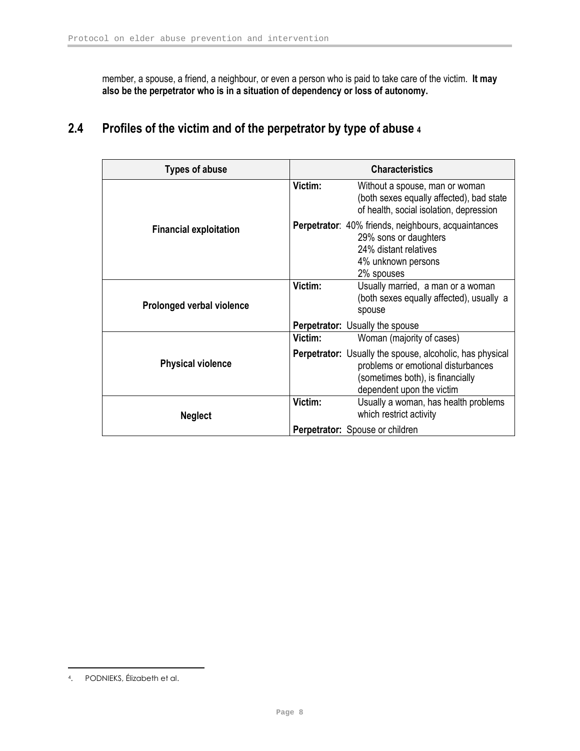member, a spouse, a friend, a neighbour, or even a person who is paid to take care of the victim. It may also be the perpetrator who is in a situation of dependency or loss of autonomy.

# 2.4 Profiles of the victim and of the perpetrator by type of abuse 4

| <b>Types of abuse</b>         |         | <b>Characteristics</b>                                                                                                                                                 |
|-------------------------------|---------|------------------------------------------------------------------------------------------------------------------------------------------------------------------------|
|                               | Victim: | Without a spouse, man or woman<br>(both sexes equally affected), bad state<br>of health, social isolation, depression                                                  |
| <b>Financial exploitation</b> |         | <b>Perpetrator:</b> 40% friends, neighbours, acquaintances<br>29% sons or daughters<br>24% distant relatives<br>4% unknown persons<br>2% spouses                       |
| Prolonged verbal violence     | Victim: | Usually married, a man or a woman<br>(both sexes equally affected), usually a<br>spouse                                                                                |
|                               |         | <b>Perpetrator:</b> Usually the spouse                                                                                                                                 |
|                               | Victim: | Woman (majority of cases)                                                                                                                                              |
| <b>Physical violence</b>      |         | <b>Perpetrator:</b> Usually the spouse, alcoholic, has physical<br>problems or emotional disturbances<br>(sometimes both), is financially<br>dependent upon the victim |
| <b>Neglect</b>                | Victim: | Usually a woman, has health problems<br>which restrict activity                                                                                                        |
|                               |         | Perpetrator: Spouse or children                                                                                                                                        |

<u>.</u>

<sup>4</sup>. PODNIEKS, Élizabeth et al.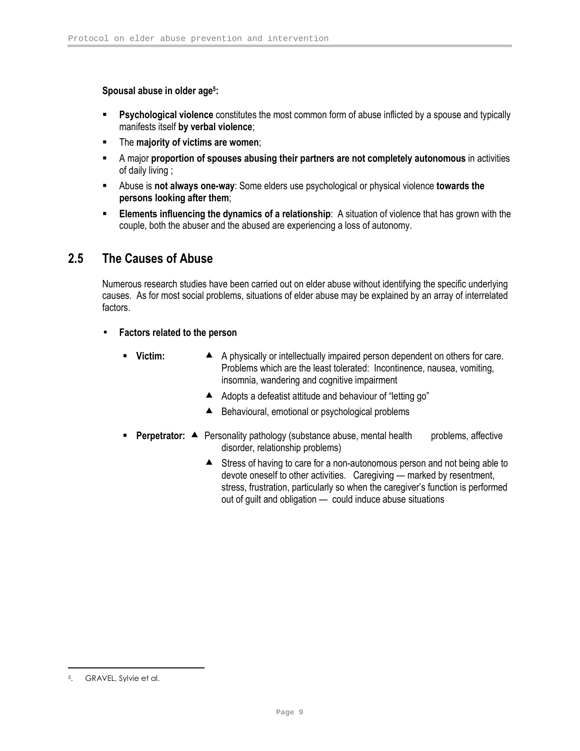Spousal abuse in older age<sup>5</sup>:

- **Psychological violence** constitutes the most common form of abuse inflicted by a spouse and typically manifests itself by verbal violence;
- **The majority of victims are women:**
- A major proportion of spouses abusing their partners are not completely autonomous in activities of daily living ;
- **Abuse is not always one-way**: Some elders use psychological or physical violence **towards the** persons looking after them;
- **Elements influencing the dynamics of a relationship:** A situation of violence that has grown with the couple, both the abuser and the abused are experiencing a loss of autonomy.

# 2.5 The Causes of Abuse

Numerous research studies have been carried out on elder abuse without identifying the specific underlying causes. As for most social problems, situations of elder abuse may be explained by an array of interrelated factors.

- Factors related to the person
	-
	- Victim: ▲ A physically or intellectually impaired person dependent on others for care. Problems which are the least tolerated: Incontinence, nausea, vomiting, insomnia, wandering and cognitive impairment
		- Adopts a defeatist attitude and behaviour of "letting go"
		- ▲ Behavioural, emotional or psychological problems
	- **Perpetrator:**  $\blacktriangle$  Personality pathology (substance abuse, mental health problems, affective disorder, relationship problems)
		- ▲ Stress of having to care for a non-autonomous person and not being able to devote oneself to other activities. Caregiving — marked by resentment, stress, frustration, particularly so when the caregiver's function is performed out of guilt and obligation — could induce abuse situations

<u>.</u>

GRAVEL, Sylvie et al.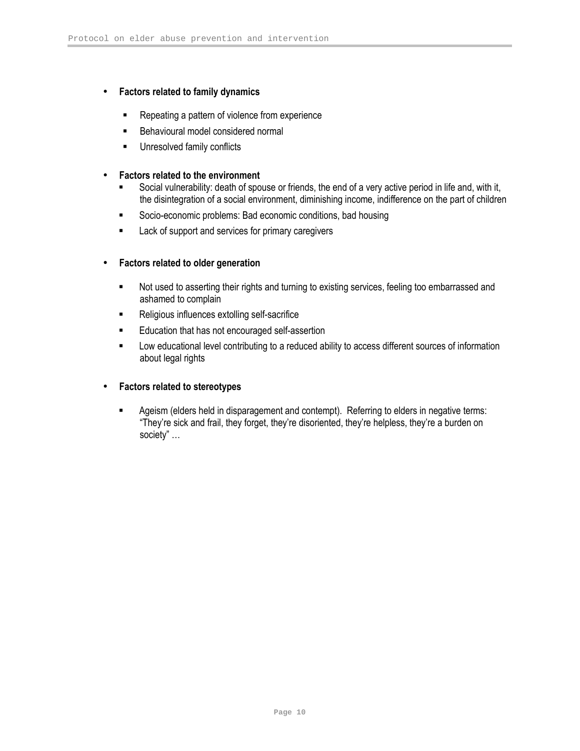#### • Factors related to family dynamics

- **Repeating a pattern of violence from experience**
- **Behavioural model considered normal**
- **Unresolved family conflicts**

#### • Factors related to the environment

- Social vulnerability: death of spouse or friends, the end of a very active period in life and, with it, the disintegration of a social environment, diminishing income, indifference on the part of children
- Socio-economic problems: Bad economic conditions, bad housing
- **EXEC** Lack of support and services for primary caregivers

#### • Factors related to older generation

- Not used to asserting their rights and turning to existing services, feeling too embarrassed and ashamed to complain
- **Religious influences extolling self-sacrifice**
- **Education that has not encouraged self-assertion**
- **EXECT** Low educational level contributing to a reduced ability to access different sources of information about legal rights

#### • Factors related to stereotypes

 Ageism (elders held in disparagement and contempt). Referring to elders in negative terms: "They're sick and frail, they forget, they're disoriented, they're helpless, they're a burden on society" …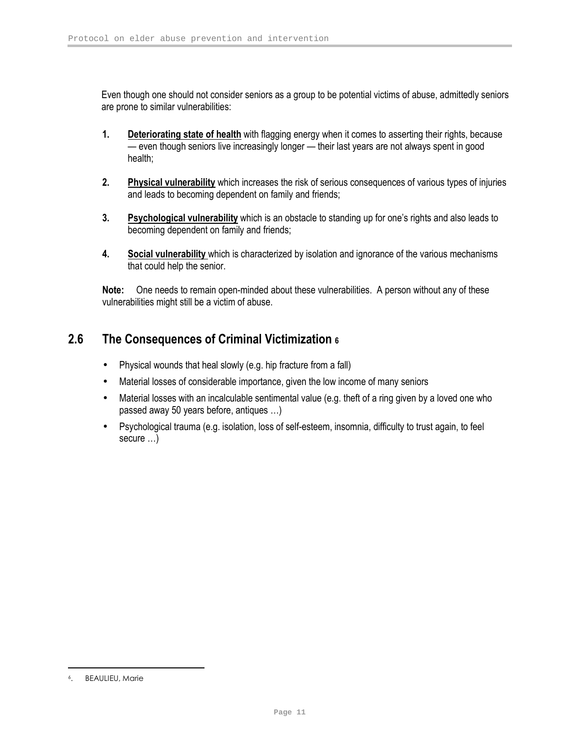Even though one should not consider seniors as a group to be potential victims of abuse, admittedly seniors are prone to similar vulnerabilities:

- 1. Deteriorating state of health with flagging energy when it comes to asserting their rights, because — even though seniors live increasingly longer — their last years are not always spent in good health;
- 2. Physical vulnerability which increases the risk of serious consequences of various types of injuries and leads to becoming dependent on family and friends;
- 3. Psychological vulnerability which is an obstacle to standing up for one's rights and also leads to becoming dependent on family and friends;
- 4. Social vulnerability which is characterized by isolation and ignorance of the various mechanisms that could help the senior.

Note: One needs to remain open-minded about these vulnerabilities. A person without any of these vulnerabilities might still be a victim of abuse.

# 2.6 The Consequences of Criminal Victimization 6

- Physical wounds that heal slowly (e.g. hip fracture from a fall)
- Material losses of considerable importance, given the low income of many seniors
- Material losses with an incalculable sentimental value (e.g. theft of a ring given by a loved one who passed away 50 years before, antiques …)
- Psychological trauma (e.g. isolation, loss of self-esteem, insomnia, difficulty to trust again, to feel secure …)

<u>.</u>

<sup>6</sup>. BEAULIEU, Marie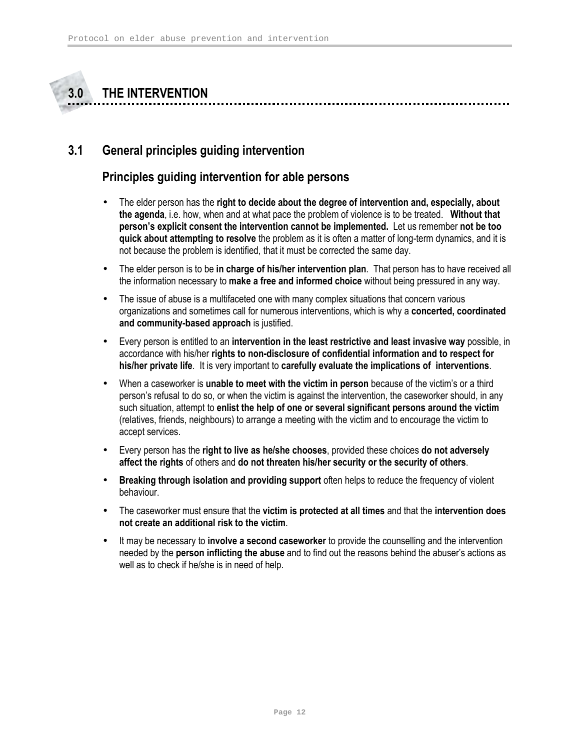# 3.0 THE INTERVENTION

# 3.1 General principles guiding intervention

# Principles guiding intervention for able persons

- The elder person has the right to decide about the degree of intervention and, especially, about the agenda, i.e. how, when and at what pace the problem of violence is to be treated. Without that person's explicit consent the intervention cannot be implemented. Let us remember not be too quick about attempting to resolve the problem as it is often a matter of long-term dynamics, and it is not because the problem is identified, that it must be corrected the same day.
- The elder person is to be in charge of his/her intervention plan. That person has to have received all the information necessary to make a free and informed choice without being pressured in any way.
- The issue of abuse is a multifaceted one with many complex situations that concern various organizations and sometimes call for numerous interventions, which is why a **concerted, coordinated** and community-based approach is justified.
- Every person is entitled to an intervention in the least restrictive and least invasive way possible, in accordance with his/her rights to non-disclosure of confidential information and to respect for his/her private life. It is very important to carefully evaluate the implications of interventions.
- When a caseworker is **unable to meet with the victim in person** because of the victim's or a third person's refusal to do so, or when the victim is against the intervention, the caseworker should, in any such situation, attempt to enlist the help of one or several significant persons around the victim (relatives, friends, neighbours) to arrange a meeting with the victim and to encourage the victim to accept services.
- Every person has the right to live as he/she chooses, provided these choices do not adversely affect the rights of others and do not threaten his/her security or the security of others.
- Breaking through isolation and providing support often helps to reduce the frequency of violent behaviour.
- The caseworker must ensure that the victim is protected at all times and that the intervention does not create an additional risk to the victim.
- It may be necessary to involve a second caseworker to provide the counselling and the intervention needed by the person inflicting the abuse and to find out the reasons behind the abuser's actions as well as to check if he/she is in need of help.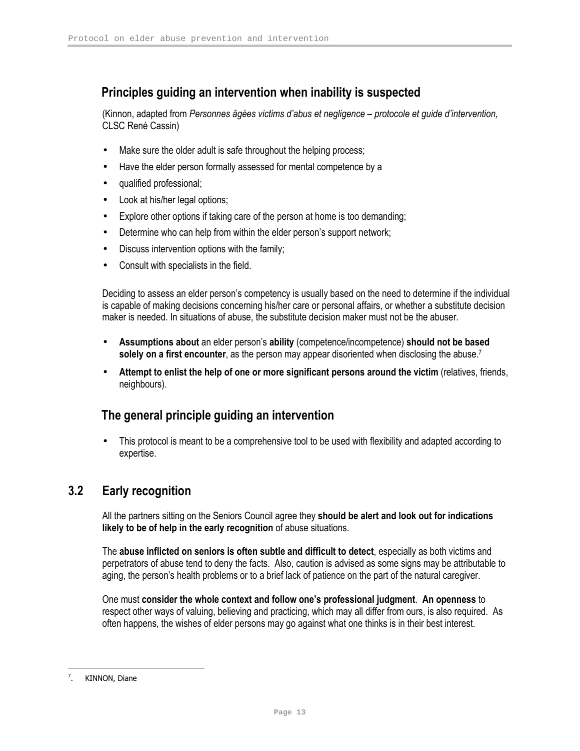# Principles guiding an intervention when inability is suspected

(Kinnon, adapted from Personnes âgées victims d'abus et negligence – protocole et guide d'intervention, CLSC René Cassin)

- Make sure the older adult is safe throughout the helping process;
- Have the elder person formally assessed for mental competence by a
- qualified professional;
- Look at his/her legal options;
- Explore other options if taking care of the person at home is too demanding;
- Determine who can help from within the elder person's support network;
- Discuss intervention options with the family;
- Consult with specialists in the field.

Deciding to assess an elder person's competency is usually based on the need to determine if the individual is capable of making decisions concerning his/her care or personal affairs, or whether a substitute decision maker is needed. In situations of abuse, the substitute decision maker must not be the abuser.

- Assumptions about an elder person's ability (competence/incompetence) should not be based solely on a first encounter, as the person may appear disoriented when disclosing the abuse.<sup>7</sup>
- Attempt to enlist the help of one or more significant persons around the victim (relatives, friends, neighbours).

# The general principle guiding an intervention

• This protocol is meant to be a comprehensive tool to be used with flexibility and adapted according to expertise.

# 3.2 Early recognition

All the partners sitting on the Seniors Council agree they should be alert and look out for indications likely to be of help in the early recognition of abuse situations.

The abuse inflicted on seniors is often subtle and difficult to detect, especially as both victims and perpetrators of abuse tend to deny the facts. Also, caution is advised as some signs may be attributable to aging, the person's health problems or to a brief lack of patience on the part of the natural caregiver.

One must consider the whole context and follow one's professional judgment. An openness to respect other ways of valuing, believing and practicing, which may all differ from ours, is also required. As often happens, the wishes of elder persons may go against what one thinks is in their best interest.

<sup>&</sup>lt;u>.</u> 7 KINNON, Diane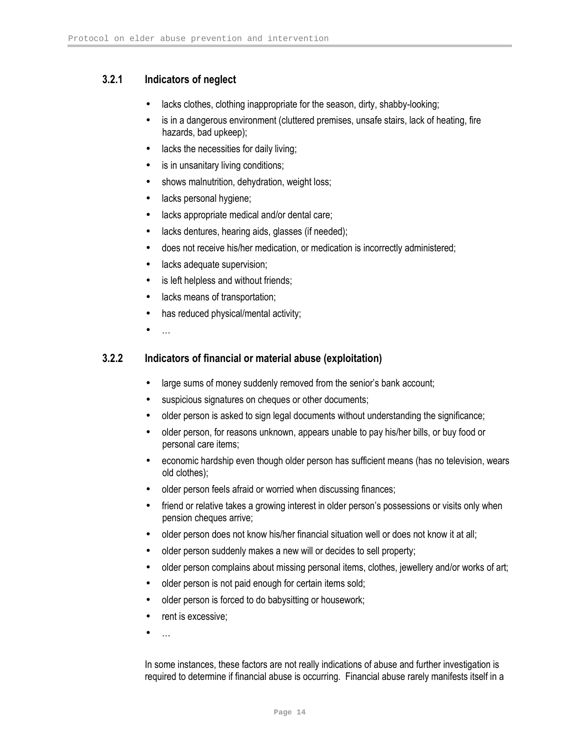### 3.2.1 Indicators of neglect

- lacks clothes, clothing inappropriate for the season, dirty, shabby-looking;
- is in a dangerous environment (cluttered premises, unsafe stairs, lack of heating, fire hazards, bad upkeep);
- lacks the necessities for daily living;
- is in unsanitary living conditions;
- shows malnutrition, dehydration, weight loss;
- lacks personal hygiene;
- lacks appropriate medical and/or dental care;
- lacks dentures, hearing aids, glasses (if needed);
- does not receive his/her medication, or medication is incorrectly administered;
- lacks adequate supervision;
- is left helpless and without friends;
- lacks means of transportation;
- has reduced physical/mental activity;
- …

#### 3.2.2 Indicators of financial or material abuse (exploitation)

- large sums of money suddenly removed from the senior's bank account;
- suspicious signatures on cheques or other documents;
- older person is asked to sign legal documents without understanding the significance;
- older person, for reasons unknown, appears unable to pay his/her bills, or buy food or personal care items;
- economic hardship even though older person has sufficient means (has no television, wears old clothes);
- older person feels afraid or worried when discussing finances;
- friend or relative takes a growing interest in older person's possessions or visits only when pension cheques arrive;
- older person does not know his/her financial situation well or does not know it at all;
- older person suddenly makes a new will or decides to sell property;
- older person complains about missing personal items, clothes, jewellery and/or works of art;
- older person is not paid enough for certain items sold;
- older person is forced to do babysitting or housework;
- rent is excessive:
- $\mathbf{r}$

In some instances, these factors are not really indications of abuse and further investigation is required to determine if financial abuse is occurring. Financial abuse rarely manifests itself in a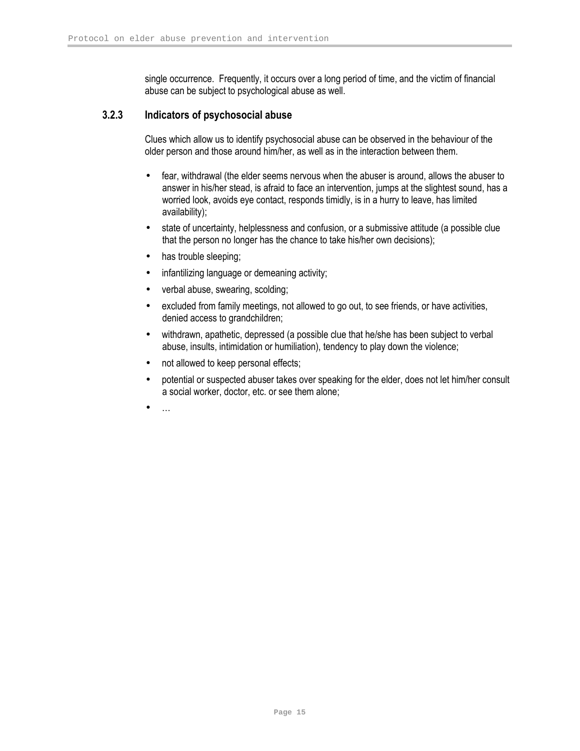single occurrence. Frequently, it occurs over a long period of time, and the victim of financial abuse can be subject to psychological abuse as well.

#### 3.2.3 Indicators of psychosocial abuse

Clues which allow us to identify psychosocial abuse can be observed in the behaviour of the older person and those around him/her, as well as in the interaction between them.

- fear, withdrawal (the elder seems nervous when the abuser is around, allows the abuser to answer in his/her stead, is afraid to face an intervention, jumps at the slightest sound, has a worried look, avoids eye contact, responds timidly, is in a hurry to leave, has limited availability);
- state of uncertainty, helplessness and confusion, or a submissive attitude (a possible clue that the person no longer has the chance to take his/her own decisions);
- has trouble sleeping;
- infantilizing language or demeaning activity;
- verbal abuse, swearing, scolding;
- excluded from family meetings, not allowed to go out, to see friends, or have activities, denied access to grandchildren;
- withdrawn, apathetic, depressed (a possible clue that he/she has been subject to verbal abuse, insults, intimidation or humiliation), tendency to play down the violence;
- not allowed to keep personal effects;
- potential or suspected abuser takes over speaking for the elder, does not let him/her consult a social worker, doctor, etc. or see them alone;
- $\ddotsc$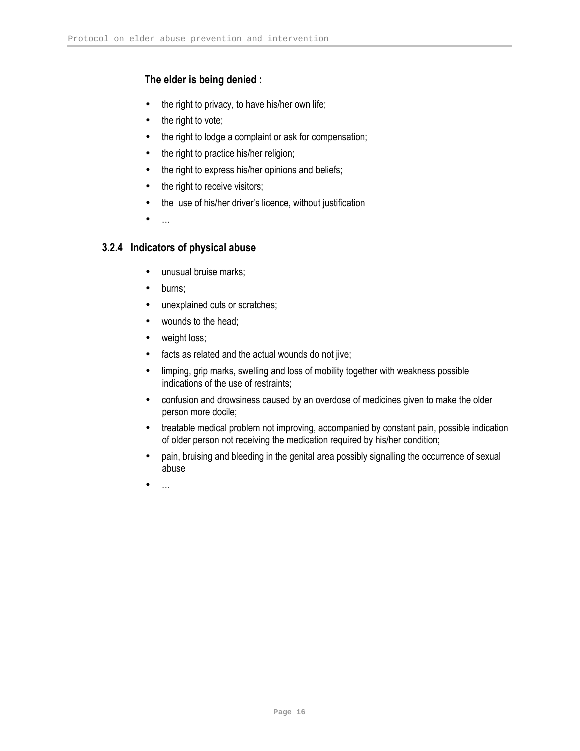### The elder is being denied :

- the right to privacy, to have his/her own life;
- the right to vote;
- the right to lodge a complaint or ask for compensation;
- the right to practice his/her religion;
- the right to express his/her opinions and beliefs;
- the right to receive visitors;
- the use of his/her driver's licence, without justification
- …

### 3.2.4 Indicators of physical abuse

- unusual bruise marks;
- burns;
- unexplained cuts or scratches;
- wounds to the head;
- weight loss;
- facts as related and the actual wounds do not jive;
- limping, grip marks, swelling and loss of mobility together with weakness possible indications of the use of restraints;
- confusion and drowsiness caused by an overdose of medicines given to make the older person more docile;
- treatable medical problem not improving, accompanied by constant pain, possible indication of older person not receiving the medication required by his/her condition;
- pain, bruising and bleeding in the genital area possibly signalling the occurrence of sexual abuse
- …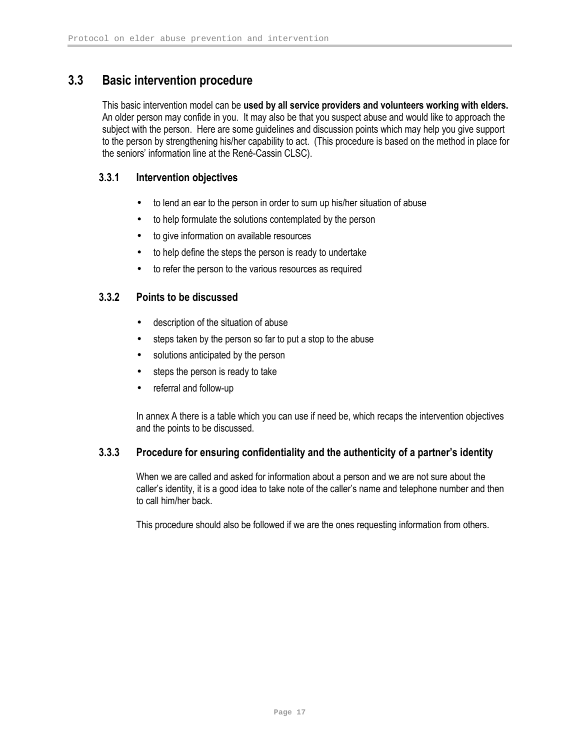# 3.3 Basic intervention procedure

This basic intervention model can be used by all service providers and volunteers working with elders. An older person may confide in you. It may also be that you suspect abuse and would like to approach the subject with the person. Here are some guidelines and discussion points which may help you give support to the person by strengthening his/her capability to act. (This procedure is based on the method in place for the seniors' information line at the René-Cassin CLSC).

### 3.3.1 Intervention objectives

- to lend an ear to the person in order to sum up his/her situation of abuse
- to help formulate the solutions contemplated by the person
- to give information on available resources
- to help define the steps the person is ready to undertake
- to refer the person to the various resources as required

### 3.3.2 Points to be discussed

- description of the situation of abuse
- steps taken by the person so far to put a stop to the abuse
- solutions anticipated by the person
- steps the person is ready to take
- referral and follow-up

In annex A there is a table which you can use if need be, which recaps the intervention objectives and the points to be discussed.

### 3.3.3 Procedure for ensuring confidentiality and the authenticity of a partner's identity

When we are called and asked for information about a person and we are not sure about the caller's identity, it is a good idea to take note of the caller's name and telephone number and then to call him/her back.

This procedure should also be followed if we are the ones requesting information from others.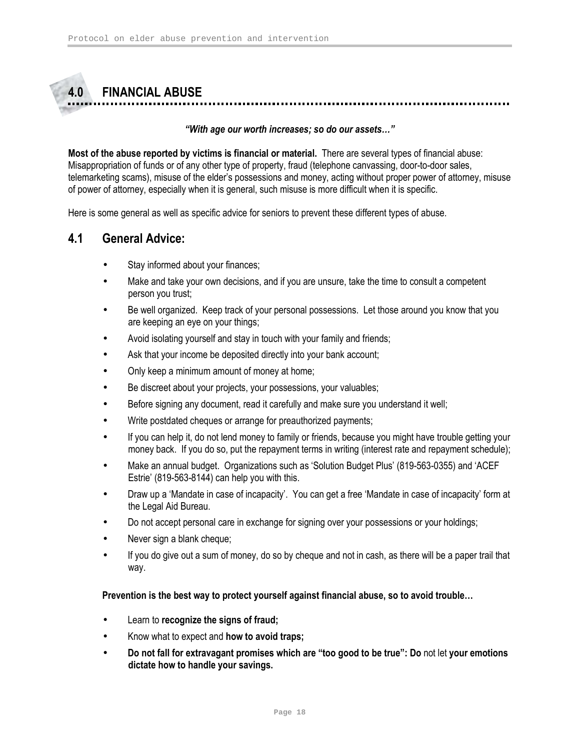# 4.0 FINANCIAL ABUSE

#### "With age our worth increases; so do our assets…"

Most of the abuse reported by victims is financial or material. There are several types of financial abuse: Misappropriation of funds or of any other type of property, fraud (telephone canvassing, door-to-door sales, telemarketing scams), misuse of the elder's possessions and money, acting without proper power of attorney, misuse of power of attorney, especially when it is general, such misuse is more difficult when it is specific.

Here is some general as well as specific advice for seniors to prevent these different types of abuse.

### 4.1 General Advice:

- Stay informed about your finances;
- Make and take your own decisions, and if you are unsure, take the time to consult a competent person you trust;
- Be well organized. Keep track of your personal possessions. Let those around you know that you are keeping an eye on your things;
- Avoid isolating yourself and stay in touch with your family and friends;
- Ask that your income be deposited directly into your bank account;
- Only keep a minimum amount of money at home;
- Be discreet about your projects, your possessions, your valuables;
- Before signing any document, read it carefully and make sure you understand it well;
- Write postdated cheques or arrange for preauthorized payments;
- If you can help it, do not lend money to family or friends, because you might have trouble getting your money back. If you do so, put the repayment terms in writing (interest rate and repayment schedule);
- Make an annual budget. Organizations such as 'Solution Budget Plus' (819-563-0355) and 'ACEF Estrie' (819-563-8144) can help you with this.
- Draw up a 'Mandate in case of incapacity'. You can get a free 'Mandate in case of incapacity' form at the Legal Aid Bureau.
- Do not accept personal care in exchange for signing over your possessions or your holdings;
- Never sign a blank cheque;
- If you do give out a sum of money, do so by cheque and not in cash, as there will be a paper trail that way.

#### Prevention is the best way to protect yourself against financial abuse, so to avoid trouble…

- Learn to recognize the signs of fraud;
- Know what to expect and how to avoid traps;
- Do not fall for extravagant promises which are "too good to be true": Do not let your emotions dictate how to handle your savings.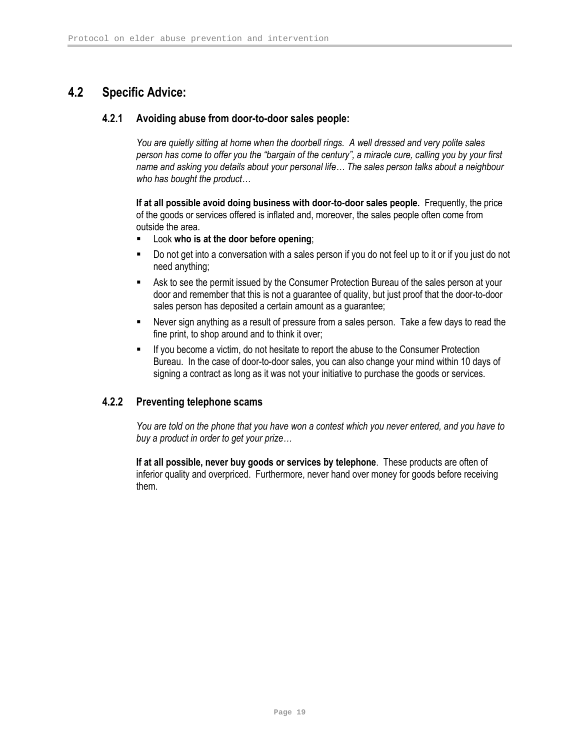# 4.2 Specific Advice:

#### 4.2.1 Avoiding abuse from door-to-door sales people:

You are quietly sitting at home when the doorbell rings. A well dressed and very polite sales person has come to offer you the "bargain of the century", a miracle cure, calling you by your first name and asking you details about your personal life… The sales person talks about a neighbour who has bought the product…

If at all possible avoid doing business with door-to-door sales people. Frequently, the price of the goods or services offered is inflated and, moreover, the sales people often come from outside the area.

- **EXECOOK who is at the door before opening;**
- Do not get into a conversation with a sales person if you do not feel up to it or if you just do not need anything;
- Ask to see the permit issued by the Consumer Protection Bureau of the sales person at your door and remember that this is not a guarantee of quality, but just proof that the door-to-door sales person has deposited a certain amount as a guarantee;
- Never sign anything as a result of pressure from a sales person. Take a few days to read the fine print, to shop around and to think it over;
- **If you become a victim, do not hesitate to report the abuse to the Consumer Protection** Bureau. In the case of door-to-door sales, you can also change your mind within 10 days of signing a contract as long as it was not your initiative to purchase the goods or services.

### 4.2.2 Preventing telephone scams

You are told on the phone that you have won a contest which you never entered, and you have to buy a product in order to get your prize…

If at all possible, never buy goods or services by telephone. These products are often of inferior quality and overpriced. Furthermore, never hand over money for goods before receiving them.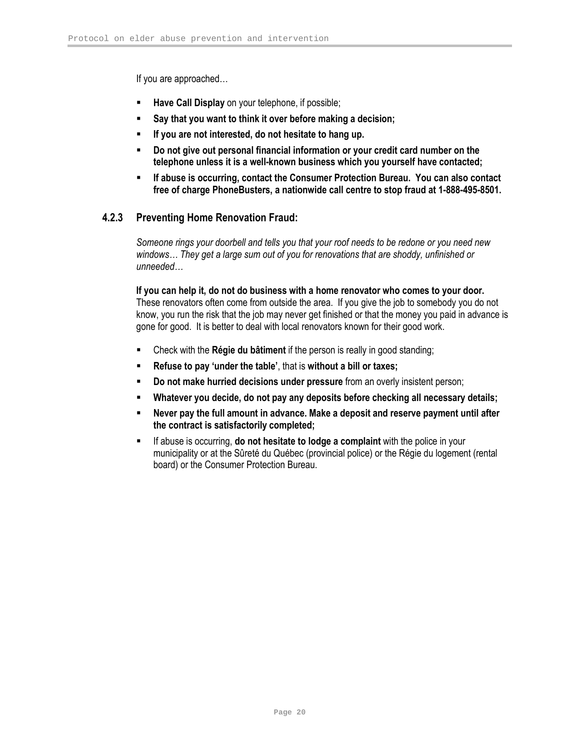If you are approached…

- Have Call Display on your telephone, if possible;
- Say that you want to think it over before making a decision;
- If you are not interested, do not hesitate to hang up.
- Do not give out personal financial information or your credit card number on the telephone unless it is a well-known business which you yourself have contacted;
- If abuse is occurring, contact the Consumer Protection Bureau. You can also contact free of charge PhoneBusters, a nationwide call centre to stop fraud at 1-888-495-8501.

### 4.2.3 Preventing Home Renovation Fraud:

Someone rings your doorbell and tells you that your roof needs to be redone or you need new windows… They get a large sum out of you for renovations that are shoddy, unfinished or unneeded…

If you can help it, do not do business with a home renovator who comes to your door. These renovators often come from outside the area. If you give the job to somebody you do not know, you run the risk that the job may never get finished or that the money you paid in advance is gone for good. It is better to deal with local renovators known for their good work.

- Check with the Régie du bâtiment if the person is really in good standing;
- Refuse to pay 'under the table', that is without a bill or taxes;
- Do not make hurried decisions under pressure from an overly insistent person;
- Whatever you decide, do not pay any deposits before checking all necessary details;
- Never pay the full amount in advance. Make a deposit and reserve payment until after the contract is satisfactorily completed;
- If abuse is occurring, do not hesitate to lodge a complaint with the police in your municipality or at the Sûreté du Québec (provincial police) or the Régie du logement (rental board) or the Consumer Protection Bureau.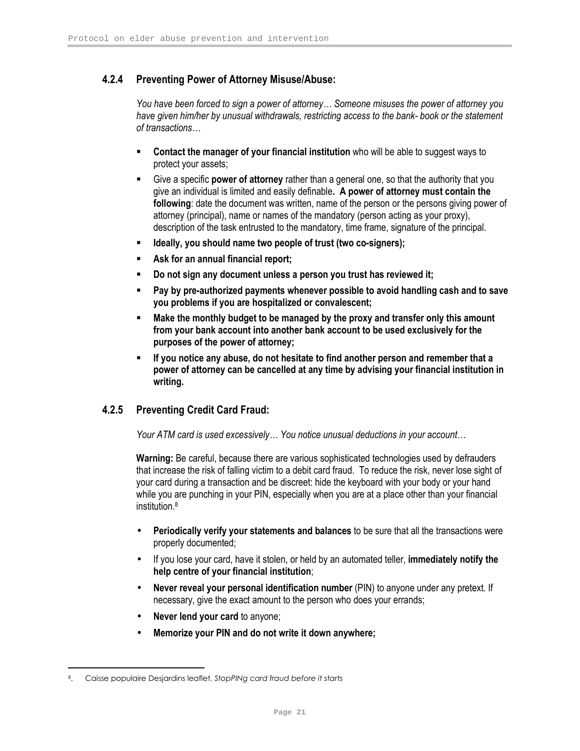### 4.2.4 Preventing Power of Attorney Misuse/Abuse:

You have been forced to sign a power of attorney… Someone misuses the power of attorney you have given him/her by unusual withdrawals, restricting access to the bank- book or the statement of transactions…

- Contact the manager of your financial institution who will be able to suggest ways to protect your assets;
- Give a specific **power of attorney** rather than a general one, so that the authority that you give an individual is limited and easily definable. A power of attorney must contain the following: date the document was written, name of the person or the persons giving power of attorney (principal), name or names of the mandatory (person acting as your proxy), description of the task entrusted to the mandatory, time frame, signature of the principal.
- Ideally, you should name two people of trust (two co-signers);
- Ask for an annual financial report;
- Do not sign any document unless a person you trust has reviewed it;
- Pay by pre-authorized payments whenever possible to avoid handling cash and to save you problems if you are hospitalized or convalescent;
- **Make the monthly budget to be managed by the proxy and transfer only this amount** from your bank account into another bank account to be used exclusively for the purposes of the power of attorney;
- If you notice any abuse, do not hesitate to find another person and remember that a power of attorney can be cancelled at any time by advising your financial institution in writing.

### 4.2.5 Preventing Credit Card Fraud:

Your ATM card is used excessively… You notice unusual deductions in your account…

Warning: Be careful, because there are various sophisticated technologies used by defrauders that increase the risk of falling victim to a debit card fraud. To reduce the risk, never lose sight of your card during a transaction and be discreet: hide the keyboard with your body or your hand while you are punching in your PIN, especially when you are at a place other than your financial institution.<sup>8</sup>

- Periodically verify your statements and balances to be sure that all the transactions were properly documented;
- If you lose your card, have it stolen, or held by an automated teller, immediately notify the help centre of your financial institution;
- Never reveal your personal identification number (PIN) to anyone under any pretext. If necessary, give the exact amount to the person who does your errands;
- Never lend your card to anyone;
- Memorize your PIN and do not write it down anywhere;

<u>.</u>

Caisse populaire Desjardins leaflet, StopPINg card fraud before it starts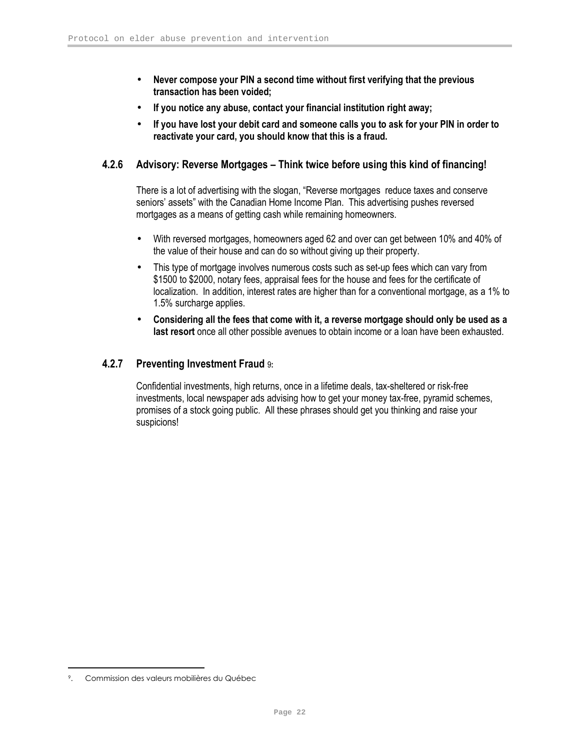- Never compose your PIN a second time without first verifying that the previous transaction has been voided;
- If you notice any abuse, contact your financial institution right away;
- If you have lost your debit card and someone calls you to ask for your PIN in order to reactivate your card, you should know that this is a fraud.

#### 4.2.6 Advisory: Reverse Mortgages – Think twice before using this kind of financing!

There is a lot of advertising with the slogan, "Reverse mortgages reduce taxes and conserve seniors' assets" with the Canadian Home Income Plan. This advertising pushes reversed mortgages as a means of getting cash while remaining homeowners.

- With reversed mortgages, homeowners aged 62 and over can get between 10% and 40% of the value of their house and can do so without giving up their property.
- This type of mortgage involves numerous costs such as set-up fees which can vary from \$1500 to \$2000, notary fees, appraisal fees for the house and fees for the certificate of localization. In addition, interest rates are higher than for a conventional mortgage, as a 1% to 1.5% surcharge applies.
- Considering all the fees that come with it, a reverse mortgage should only be used as a last resort once all other possible avenues to obtain income or a loan have been exhausted.

#### 4.2.7 Preventing Investment Fraud 9:

Confidential investments, high returns, once in a lifetime deals, tax-sheltered or risk-free investments, local newspaper ads advising how to get your money tax-free, pyramid schemes, promises of a stock going public. All these phrases should get you thinking and raise your suspicions!

<u>.</u>

<sup>9</sup>. Commission des valeurs mobilières du Québec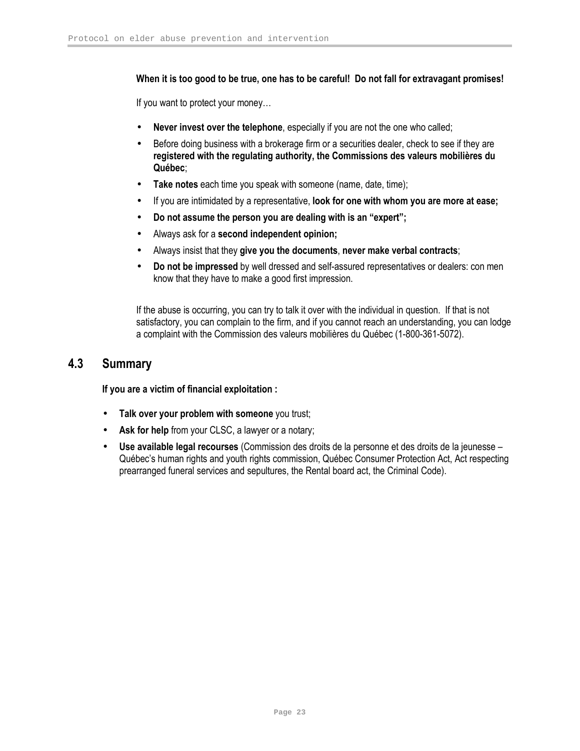#### When it is too good to be true, one has to be careful! Do not fall for extravagant promises!

If you want to protect your money…

- Never invest over the telephone, especially if you are not the one who called;
- Before doing business with a brokerage firm or a securities dealer, check to see if they are registered with the regulating authority, the Commissions des valeurs mobilières du Québec;
- Take notes each time you speak with someone (name, date, time);
- If you are intimidated by a representative, look for one with whom you are more at ease;
- Do not assume the person you are dealing with is an "expert";
- Always ask for a second independent opinion;
- Always insist that they give you the documents, never make verbal contracts;
- Do not be impressed by well dressed and self-assured representatives or dealers: con men know that they have to make a good first impression.

If the abuse is occurring, you can try to talk it over with the individual in question. If that is not satisfactory, you can complain to the firm, and if you cannot reach an understanding, you can lodge a complaint with the Commission des valeurs mobilières du Québec (1-800-361-5072).

## 4.3 Summary

If you are a victim of financial exploitation :

- Talk over your problem with someone you trust;
- Ask for help from your CLSC, a lawyer or a notary;
- Use available legal recourses (Commission des droits de la personne et des droits de la jeunesse Québec's human rights and youth rights commission, Québec Consumer Protection Act, Act respecting prearranged funeral services and sepultures, the Rental board act, the Criminal Code).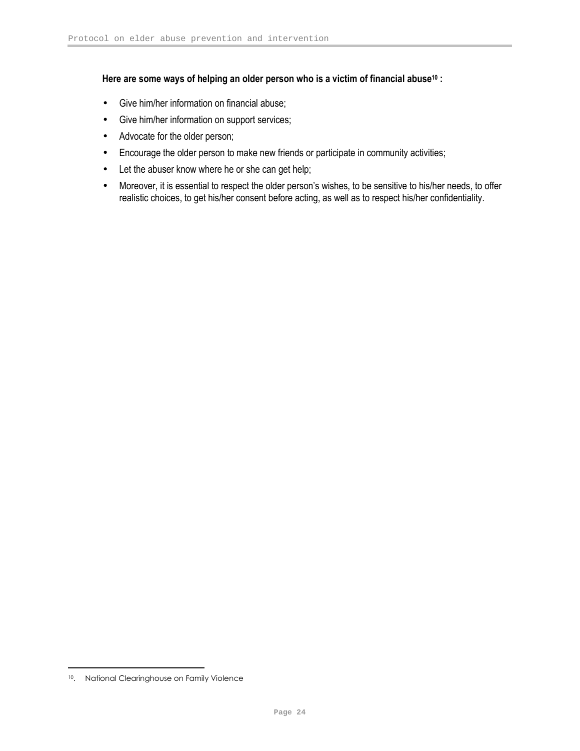#### Here are some ways of helping an older person who is a victim of financial abuse<sup>10</sup> :

- Give him/her information on financial abuse;
- Give him/her information on support services;
- Advocate for the older person;
- Encourage the older person to make new friends or participate in community activities;
- Let the abuser know where he or she can get help;
- Moreover, it is essential to respect the older person's wishes, to be sensitive to his/her needs, to offer realistic choices, to get his/her consent before acting, as well as to respect his/her confidentiality.

<u>.</u>

<sup>10</sup>. National Clearinghouse on Family Violence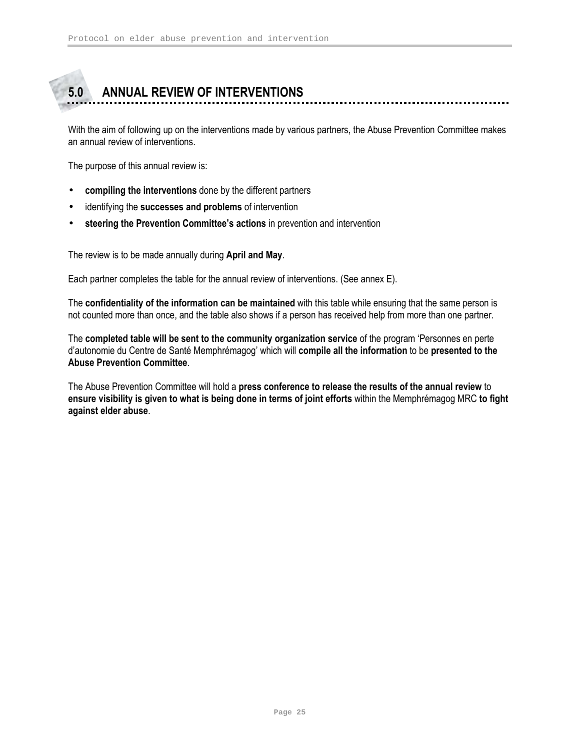# 5.0 ANNUAL REVIEW OF INTERVENTIONS

With the aim of following up on the interventions made by various partners, the Abuse Prevention Committee makes an annual review of interventions.

The purpose of this annual review is:

- compiling the interventions done by the different partners
- identifying the successes and problems of intervention
- steering the Prevention Committee's actions in prevention and intervention

The review is to be made annually during April and May.

Each partner completes the table for the annual review of interventions. (See annex E).

The confidentiality of the information can be maintained with this table while ensuring that the same person is not counted more than once, and the table also shows if a person has received help from more than one partner.

The completed table will be sent to the community organization service of the program 'Personnes en perte d'autonomie du Centre de Santé Memphrémagog' which will compile all the information to be presented to the Abuse Prevention Committee.

The Abuse Prevention Committee will hold a press conference to release the results of the annual review to ensure visibility is given to what is being done in terms of joint efforts within the Memphrémagog MRC to fight against elder abuse.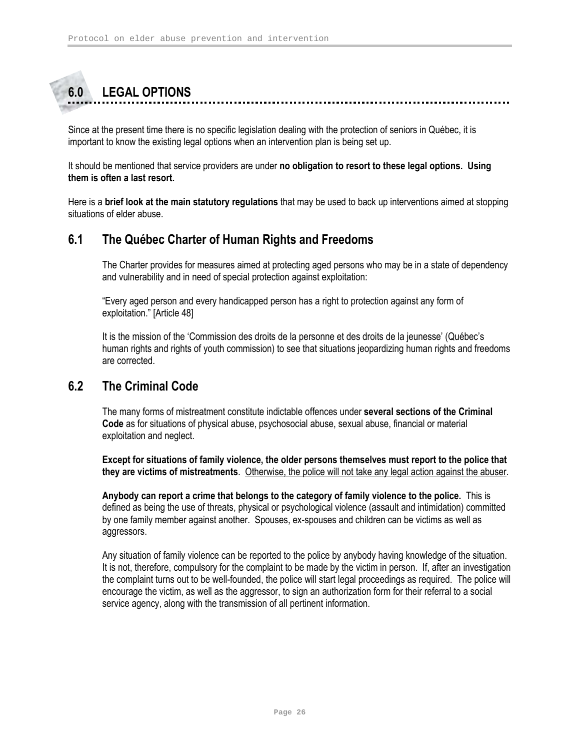# 6.0 LEGAL OPTIONS

Since at the present time there is no specific legislation dealing with the protection of seniors in Québec, it is important to know the existing legal options when an intervention plan is being set up.

It should be mentioned that service providers are under no obligation to resort to these legal options. Using them is often a last resort.

Here is a **brief look at the main statutory regulations** that may be used to back up interventions aimed at stopping situations of elder abuse.

## 6.1 The Québec Charter of Human Rights and Freedoms

The Charter provides for measures aimed at protecting aged persons who may be in a state of dependency and vulnerability and in need of special protection against exploitation:

"Every aged person and every handicapped person has a right to protection against any form of exploitation." [Article 48]

It is the mission of the 'Commission des droits de la personne et des droits de la jeunesse' (Québec's human rights and rights of youth commission) to see that situations jeopardizing human rights and freedoms are corrected.

### 6.2 The Criminal Code

The many forms of mistreatment constitute indictable offences under several sections of the Criminal Code as for situations of physical abuse, psychosocial abuse, sexual abuse, financial or material exploitation and neglect.

Except for situations of family violence, the older persons themselves must report to the police that they are victims of mistreatments. Otherwise, the police will not take any legal action against the abuser.

Anybody can report a crime that belongs to the category of family violence to the police. This is defined as being the use of threats, physical or psychological violence (assault and intimidation) committed by one family member against another. Spouses, ex-spouses and children can be victims as well as aggressors.

Any situation of family violence can be reported to the police by anybody having knowledge of the situation. It is not, therefore, compulsory for the complaint to be made by the victim in person. If, after an investigation the complaint turns out to be well-founded, the police will start legal proceedings as required. The police will encourage the victim, as well as the aggressor, to sign an authorization form for their referral to a social service agency, along with the transmission of all pertinent information.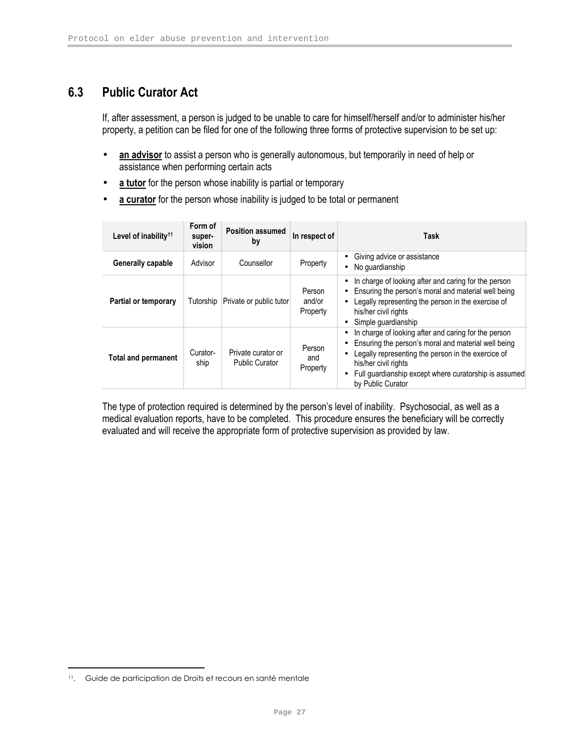# 6.3 Public Curator Act

If, after assessment, a person is judged to be unable to care for himself/herself and/or to administer his/her property, a petition can be filed for one of the following three forms of protective supervision to be set up:

- an advisor to assist a person who is generally autonomous, but temporarily in need of help or assistance when performing certain acts
- a tutor for the person whose inability is partial or temporary
- a curator for the person whose inability is judged to be total or permanent

| Level of inability <sup>11</sup> | Form of<br>super-<br>vision | <b>Position assumed</b><br>by               | In respect of                | Task                                                                                                                                                                                                                                                                    |
|----------------------------------|-----------------------------|---------------------------------------------|------------------------------|-------------------------------------------------------------------------------------------------------------------------------------------------------------------------------------------------------------------------------------------------------------------------|
| Generally capable                | Advisor                     | Counsellor                                  | Property                     | Giving advice or assistance<br>No quardianship<br>$\bullet$                                                                                                                                                                                                             |
| <b>Partial or temporary</b>      | Tutorship                   | Private or public tutor                     | Person<br>and/or<br>Property | In charge of looking after and caring for the person<br>Ensuring the person's moral and material well being<br>Legally representing the person in the exercise of<br>his/her civil rights<br>Simple quardianship<br>$\bullet$                                           |
| <b>Total and permanent</b>       | Curator-<br>ship            | Private curator or<br><b>Public Curator</b> | Person<br>and<br>Property    | In charge of looking after and caring for the person<br>Ensuring the person's moral and material well being<br>Legally representing the person in the exercice of<br>his/her civil rights<br>Full guardianship except where curatorship is assumed<br>by Public Curator |

The type of protection required is determined by the person's level of inability. Psychosocial, as well as a medical evaluation reports, have to be completed. This procedure ensures the beneficiary will be correctly evaluated and will receive the appropriate form of protective supervision as provided by law.

<u>.</u>

<sup>11</sup>. Guide de participation de Droits et recours en santé mentale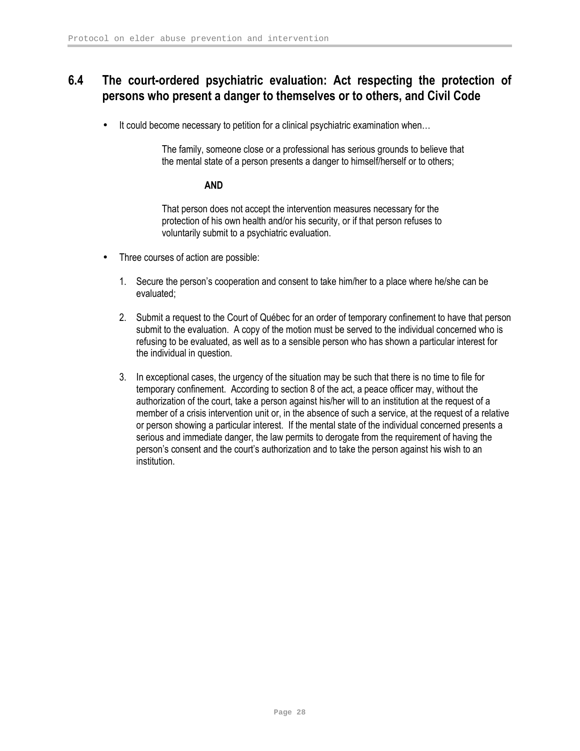# 6.4 The court-ordered psychiatric evaluation: Act respecting the protection of persons who present a danger to themselves or to others, and Civil Code

• It could become necessary to petition for a clinical psychiatric examination when...

The family, someone close or a professional has serious grounds to believe that the mental state of a person presents a danger to himself/herself or to others;

#### AND

That person does not accept the intervention measures necessary for the protection of his own health and/or his security, or if that person refuses to voluntarily submit to a psychiatric evaluation.

- Three courses of action are possible:
	- 1. Secure the person's cooperation and consent to take him/her to a place where he/she can be evaluated;
	- 2. Submit a request to the Court of Québec for an order of temporary confinement to have that person submit to the evaluation. A copy of the motion must be served to the individual concerned who is refusing to be evaluated, as well as to a sensible person who has shown a particular interest for the individual in question.
	- 3. In exceptional cases, the urgency of the situation may be such that there is no time to file for temporary confinement. According to section 8 of the act, a peace officer may, without the authorization of the court, take a person against his/her will to an institution at the request of a member of a crisis intervention unit or, in the absence of such a service, at the request of a relative or person showing a particular interest. If the mental state of the individual concerned presents a serious and immediate danger, the law permits to derogate from the requirement of having the person's consent and the court's authorization and to take the person against his wish to an institution.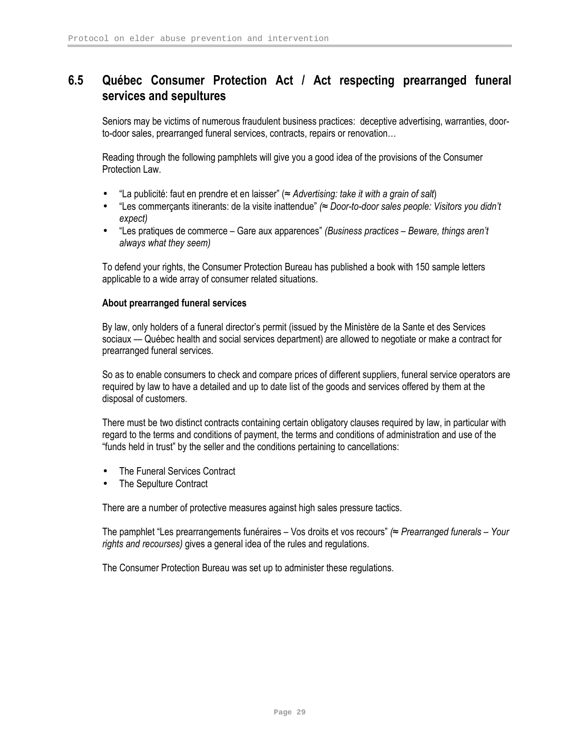# 6.5 Québec Consumer Protection Act / Act respecting prearranged funeral services and sepultures

Seniors may be victims of numerous fraudulent business practices: deceptive advertising, warranties, doorto-door sales, prearranged funeral services, contracts, repairs or renovation…

Reading through the following pamphlets will give you a good idea of the provisions of the Consumer Protection Law.

- "La publicité: faut en prendre et en laisser" (≈ Advertising: take it with a grain of salt)
- "Les commerçants itinerants: de la visite inattendue" (≈ Door-to-door sales people: Visitors you didn't expect)
- "Les pratiques de commerce Gare aux apparences" (Business practices Beware, things aren't always what they seem)

To defend your rights, the Consumer Protection Bureau has published a book with 150 sample letters applicable to a wide array of consumer related situations.

#### About prearranged funeral services

By law, only holders of a funeral director's permit (issued by the Ministère de la Sante et des Services sociaux — Québec health and social services department) are allowed to negotiate or make a contract for prearranged funeral services.

So as to enable consumers to check and compare prices of different suppliers, funeral service operators are required by law to have a detailed and up to date list of the goods and services offered by them at the disposal of customers.

There must be two distinct contracts containing certain obligatory clauses required by law, in particular with regard to the terms and conditions of payment, the terms and conditions of administration and use of the "funds held in trust" by the seller and the conditions pertaining to cancellations:

- The Funeral Services Contract
- The Sepulture Contract

There are a number of protective measures against high sales pressure tactics.

The pamphlet "Les prearrangements funéraires – Vos droits et vos recours" (≈ Prearranged funerals – Your rights and recourses) gives a general idea of the rules and regulations.

The Consumer Protection Bureau was set up to administer these regulations.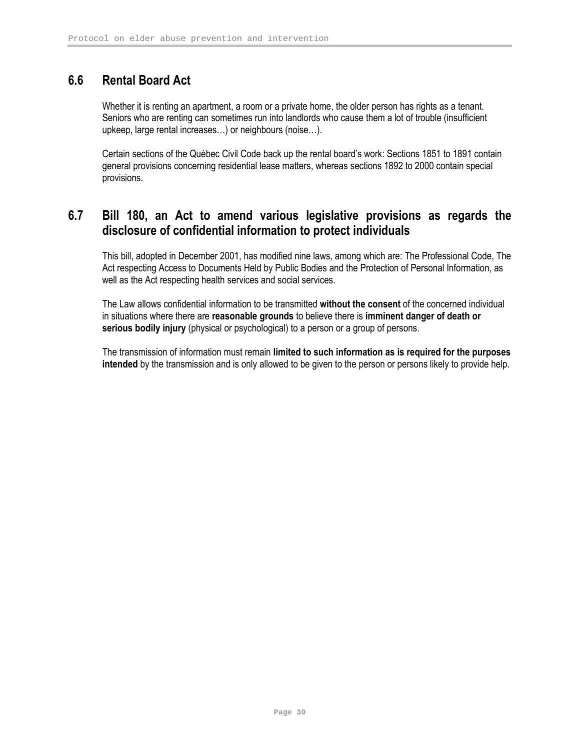# 6.6 Rental Board Act

Whether it is renting an apartment, a room or a private home, the older person has rights as a tenant. Seniors who are renting can sometimes run into landlords who cause them a lot of trouble (insufficient upkeep, large rental increases…) or neighbours (noise…).

Certain sections of the Québec Civil Code back up the rental board's work: Sections 1851 to 1891 contain general provisions concerning residential lease matters, whereas sections 1892 to 2000 contain special provisions.

# 6.7 Bill 180, an Act to amend various legislative provisions as regards the disclosure of confidential information to protect individuals

This bill, adopted in December 2001, has modified nine laws, among which are: The Professional Code, The Act respecting Access to Documents Held by Public Bodies and the Protection of Personal Information, as well as the Act respecting health services and social services.

The Law allows confidential information to be transmitted without the consent of the concerned individual in situations where there are reasonable grounds to believe there is imminent danger of death or serious bodily injury (physical or psychological) to a person or a group of persons.

The transmission of information must remain limited to such information as is required for the purposes intended by the transmission and is only allowed to be given to the person or persons likely to provide help.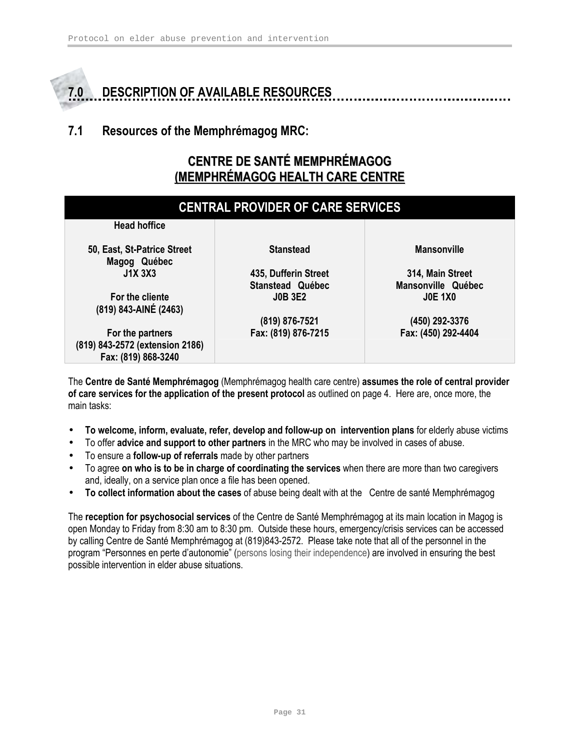# 7.0 DESCRIPTION OF AVAILABLE RESOURCES

# 7.1 Resources of the Memphrémagog MRC:

# CENTRE DE SANTÉ MEMPHRÉMAGOG (MEMPHRÉMAGOG HEALTH CARE CENTRE

| <b>CENTRAL PROVIDER OF CARE SERVICES</b>                                   |                                                 |                                        |  |  |
|----------------------------------------------------------------------------|-------------------------------------------------|----------------------------------------|--|--|
| <b>Head hoffice</b>                                                        |                                                 |                                        |  |  |
| 50, East, St-Patrice Street<br>Magog Québec                                | <b>Stanstead</b>                                | <b>Mansonville</b>                     |  |  |
| <b>J1X 3X3</b>                                                             | 435, Dufferin Street<br><b>Stanstead Québec</b> | 314, Main Street<br>Mansonville Québec |  |  |
| For the cliente<br>(819) 843-AINÉ (2463)                                   | <b>JOB 3E2</b>                                  | <b>JOE 1X0</b>                         |  |  |
|                                                                            | (819) 876-7521                                  | (450) 292-3376                         |  |  |
| For the partners<br>(819) 843-2572 (extension 2186)<br>Fax: (819) 868-3240 | Fax: (819) 876-7215                             | Fax: (450) 292-4404                    |  |  |

The Centre de Santé Memphrémagog (Memphrémagog health care centre) assumes the role of central provider of care services for the application of the present protocol as outlined on page 4. Here are, once more, the main tasks:

- To welcome, inform, evaluate, refer, develop and follow-up on intervention plans for elderly abuse victims
- To offer advice and support to other partners in the MRC who may be involved in cases of abuse.
- To ensure a **follow-up of referrals** made by other partners
- To agree on who is to be in charge of coordinating the services when there are more than two caregivers and, ideally, on a service plan once a file has been opened.
- To collect information about the cases of abuse being dealt with at the Centre de santé Memphrémagog

The reception for psychosocial services of the Centre de Santé Memphrémagog at its main location in Magog is open Monday to Friday from 8:30 am to 8:30 pm. Outside these hours, emergency/crisis services can be accessed by calling Centre de Santé Memphrémagog at (819)843-2572. Please take note that all of the personnel in the program "Personnes en perte d'autonomie" (persons losing their independence) are involved in ensuring the best possible intervention in elder abuse situations.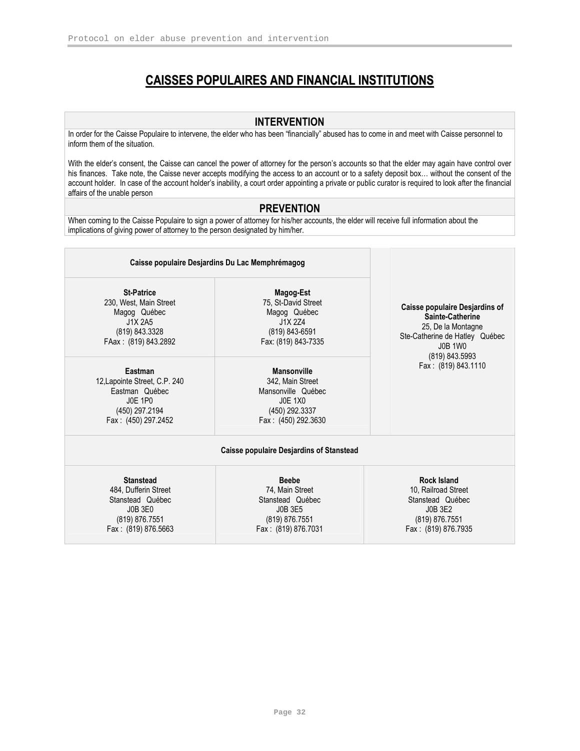# CAISSES POPULAIRES AND FINANCIAL INSTITUTIONS

#### INTERVENTION

In order for the Caisse Populaire to intervene, the elder who has been "financially" abused has to come in and meet with Caisse personnel to inform them of the situation.

With the elder's consent, the Caisse can cancel the power of attorney for the person's accounts so that the elder may again have control over his finances. Take note, the Caisse never accepts modifying the access to an account or to a safety deposit box… without the consent of the account holder. In case of the account holder's inability, a court order appointing a private or public curator is required to look after the financial affairs of the unable person

#### **PREVENTION**

When coming to the Caisse Populaire to sign a power of attorney for his/her accounts, the elder will receive full information about the implications of giving power of attorney to the person designated by him/her.

| Caisse populaire Desjardins Du Lac Memphrémagog                                                                       |                                                                                                                                                                          |                                                                                                                   |  |
|-----------------------------------------------------------------------------------------------------------------------|--------------------------------------------------------------------------------------------------------------------------------------------------------------------------|-------------------------------------------------------------------------------------------------------------------|--|
| <b>St-Patrice</b><br>230, West, Main Street<br>Magog Québec<br>J1X 2A5<br>(819) 843.3328<br>FAax: (819) 843.2892      | Magog-Est<br>75, St-David Street<br>Caisse populaire Desjardins of<br>Magog Québec<br>J1X 2Z4<br>(819) 843-6591<br>Ste-Catherine de Hatley Québec<br>Fax: (819) 843-7335 |                                                                                                                   |  |
| Eastman<br>12, Lapointe Street, C.P. 240<br>Eastman Québec<br><b>JOE 1PO</b><br>(450) 297.2194<br>Fax: (450) 297.2452 | <b>Mansonville</b><br>342, Main Street<br>Mansonville Québec<br><b>JOE 1X0</b><br>(450) 292.3337<br>Fax: (450) 292.3630                                                  | (819) 843.5993<br>Fax: (819) 843.1110                                                                             |  |
|                                                                                                                       | <b>Caisse populaire Desjardins of Stanstead</b>                                                                                                                          |                                                                                                                   |  |
| <b>Stanstead</b><br>484, Dufferin Street<br>Stanstead Québec<br>J0B 3E0<br>(819) 876.7551<br>Fax: (819) 876.5663      | <b>Beebe</b><br>74, Main Street<br>Stanstead Québec<br>J0B 3E5<br>(819) 876.7551<br>Fax: (819) 876.7031                                                                  | <b>Rock Island</b><br>10, Railroad Street<br>Stanstead Québec<br>J0B 3E2<br>(819) 876.7551<br>Fax: (819) 876.7935 |  |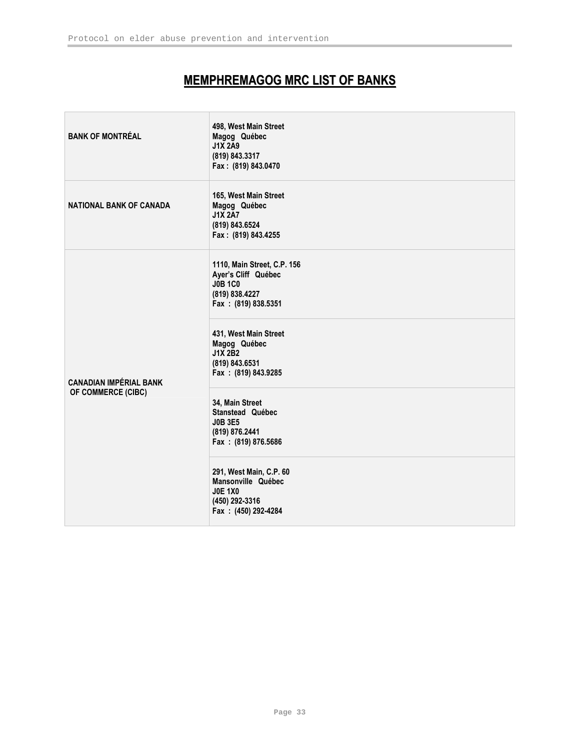# MEMPHREMAGOG MRC LIST OF BANKS

| <b>BANK OF MONTRÉAL</b>        | 498, West Main Street<br>Magog Québec<br><b>J1X 2A9</b><br>(819) 843.3317<br>Fax: (819) 843.0470              |
|--------------------------------|---------------------------------------------------------------------------------------------------------------|
| <b>NATIONAL BANK OF CANADA</b> | 165, West Main Street<br>Magog Québec<br><b>J1X 2A7</b><br>(819) 843.6524<br>Fax: (819) 843.4255              |
|                                | 1110, Main Street, C.P. 156<br>Ayer's Cliff Québec<br><b>J0B 1C0</b><br>(819) 838.4227<br>Fax: (819) 838.5351 |
| <b>CANADIAN IMPÉRIAL BANK</b>  | 431, West Main Street<br>Magog Québec<br><b>J1X 2B2</b><br>(819) 843.6531<br>Fax: (819) 843.9285              |
| OF COMMERCE (CIBC)             | 34, Main Street<br>Stanstead Québec<br><b>J0B 3E5</b><br>(819) 876.2441<br>Fax: (819) 876.5686                |
|                                | 291, West Main, C.P. 60<br>Mansonville Québec<br><b>J0E 1X0</b><br>(450) 292-3316<br>Fax: (450) 292-4284      |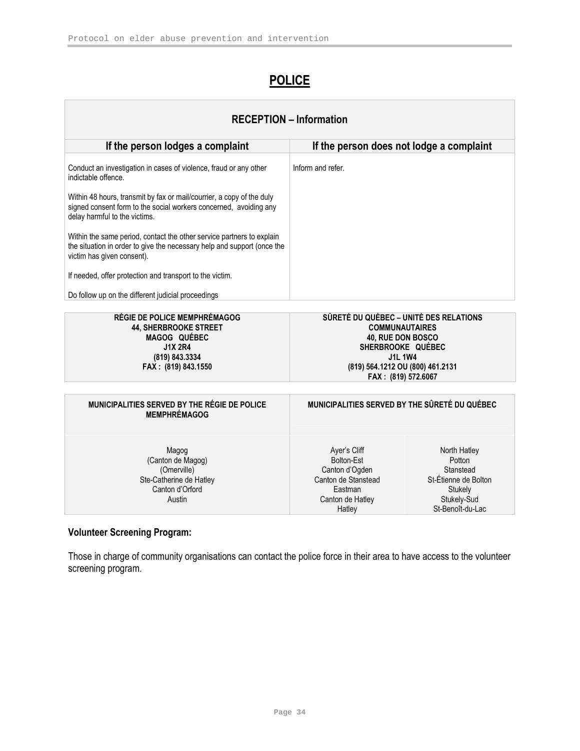# **POLICE**

| <b>RECEPTION - Information</b>                                                                                                                                                 |                                                                                                                                                                                        |                                                                                                           |  |  |
|--------------------------------------------------------------------------------------------------------------------------------------------------------------------------------|----------------------------------------------------------------------------------------------------------------------------------------------------------------------------------------|-----------------------------------------------------------------------------------------------------------|--|--|
| If the person lodges a complaint                                                                                                                                               | If the person does not lodge a complaint                                                                                                                                               |                                                                                                           |  |  |
| Conduct an investigation in cases of violence, fraud or any other<br>indictable offence.<br>Within 48 hours, transmit by fax or mail/courrier, a copy of the duly              | Inform and refer.                                                                                                                                                                      |                                                                                                           |  |  |
| signed consent form to the social workers concerned, avoiding any<br>delay harmful to the victims.                                                                             |                                                                                                                                                                                        |                                                                                                           |  |  |
| Within the same period, contact the other service partners to explain<br>the situation in order to give the necessary help and support (once the<br>victim has given consent). |                                                                                                                                                                                        |                                                                                                           |  |  |
| If needed, offer protection and transport to the victim.                                                                                                                       |                                                                                                                                                                                        |                                                                                                           |  |  |
| Do follow up on the different judicial proceedings                                                                                                                             |                                                                                                                                                                                        |                                                                                                           |  |  |
| <b>RÉGIE DE POLICE MEMPHRÉMAGOG</b><br><b>44, SHERBROOKE STREET</b><br>MAGOG QUÉBEC<br><b>J1X 2R4</b><br>(819) 843.3334<br>FAX: (819) 843.1550                                 | SÛRETÉ DU QUÉBEC - UNITÉ DES RELATIONS<br><b>COMMUNAUTAIRES</b><br>40, RUE DON BOSCO<br>SHERBROOKE QUÉBEC<br><b>J1L 1W4</b><br>(819) 564.1212 OU (800) 461.2131<br>FAX: (819) 572.6067 |                                                                                                           |  |  |
| MUNICIPALITIES SERVED BY THE RÉGIE DE POLICE<br><b>MEMPHRÉMAGOG</b>                                                                                                            | MUNICIPALITIES SERVED BY THE SÛRETÉ DU QUÉBEC                                                                                                                                          |                                                                                                           |  |  |
| Magog<br>(Canton de Magog)<br>(Omerville)<br>Ste-Catherine de Hatley<br>Canton d'Orford<br>Austin                                                                              | Aver's Cliff<br>Bolton-Est<br>Canton d'Ogden<br>Canton de Stanstead<br>Fastman<br>Canton de Hatley<br>Hatley                                                                           | North Hatley<br>Potton<br>Stanstead<br>St-Étienne de Bolton<br>Stukely<br>Stukely-Sud<br>St-Benoît-du-Lac |  |  |

### Volunteer Screening Program:

Those in charge of community organisations can contact the police force in their area to have access to the volunteer screening program.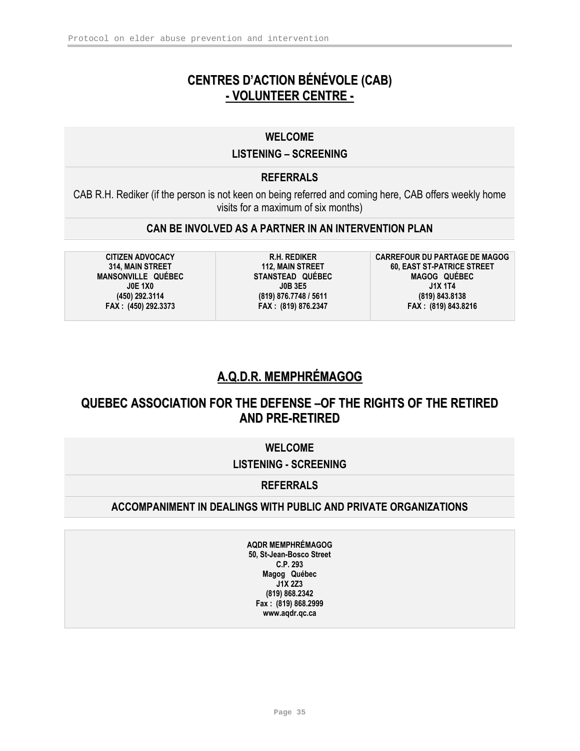# CENTRES D'ACTION BÉNÉVOLE (CAB) - VOLUNTEER CENTRE -

### WELCOME

#### LISTENING – SCREENING

### **REFERRALS**

CAB R.H. Rediker (if the person is not keen on being referred and coming here, CAB offers weekly home visits for a maximum of six months)

### CAN BE INVOLVED AS A PARTNER IN AN INTERVENTION PLAN

CITIZEN ADVOCACY 314, MAIN STREET MANSONVILLE QUÉBEC J0E 1X0 (450) 292.3114 FAX : (450) 292.3373

R.H. REDIKER 112, MAIN STREET STANSTEAD QUÉBEC J0B 3E5 (819) 876.7748 / 5611 FAX : (819) 876.2347

CARREFOUR DU PARTAGE DE MAGOG 60, EAST ST-PATRICE STREET MAGOG QUÉBEC J1X 1T4 (819) 843.8138 FAX : (819) 843.8216

# A.Q.D.R. MEMPHRÉMAGOG

# QUEBEC ASSOCIATION FOR THE DEFENSE –OF THE RIGHTS OF THE RETIRED AND PRE-RETIRED

### WELCOME

### LISTENING - SCREENING

### **REFERRALS**

### ACCOMPANIMENT IN DEALINGS WITH PUBLIC AND PRIVATE ORGANIZATIONS

AQDR MEMPHRÉMAGOG 50, St-Jean-Bosco Street C.P. 293 Magog Québec  $J1X$  2Z3 (819) 868.2342 Fax : (819) 868.2999 www.aqdr.qc.ca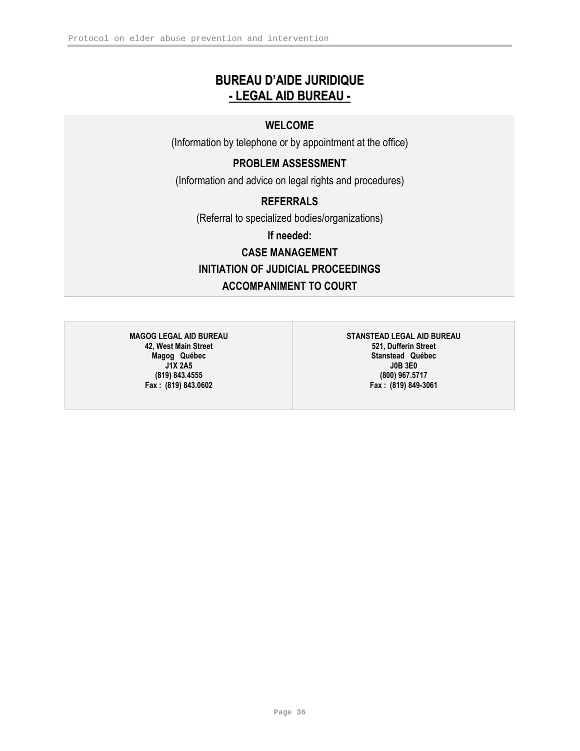# BUREAU D'AIDE JURIDIQUE - LEGAL AID BUREAU -

### WELCOME

(Information by telephone or by appointment at the office)

# PROBLEM ASSESSMENT

(Information and advice on legal rights and procedures)

### **REFERRALS**

(Referral to specialized bodies/organizations)

If needed:

# CASE MANAGEMENT INITIATION OF JUDICIAL PROCEEDINGS ACCOMPANIMENT TO COURT

MAGOG LEGAL AID BUREAU 42, West Main Street Magog Québec J1X 2A5 (819) 843.4555 Fax : (819) 843.0602

STANSTEAD LEGAL AID BUREAU 521, Dufferin Street Stanstead Québec J0B 3E0 (800) 967.5717 Fax : (819) 849-3061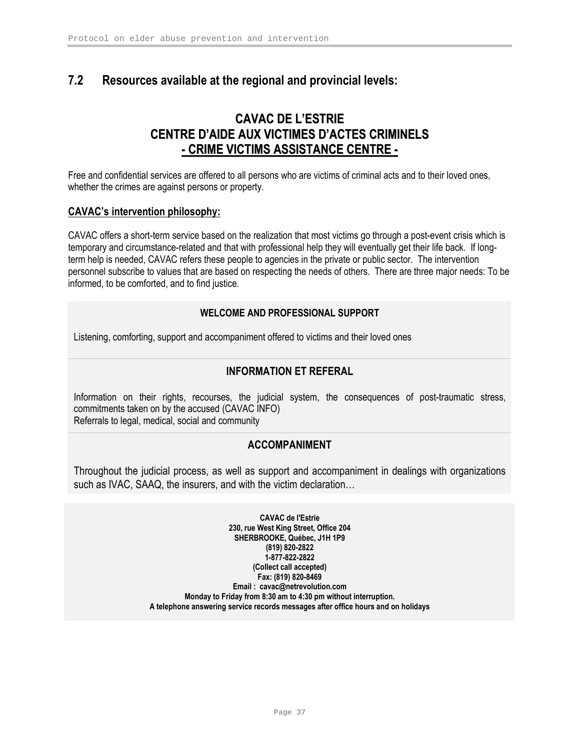# 7.2 Resources available at the regional and provincial levels:

# CAVAC DE L'ESTRIE CENTRE D'AIDE AUX VICTIMES D'ACTES CRIMINELS - CRIME VICTIMS ASSISTANCE CENTRE -

Free and confidential services are offered to all persons who are victims of criminal acts and to their loved ones, whether the crimes are against persons or property.

#### CAVAC's intervention philosophy:

CAVAC offers a short-term service based on the realization that most victims go through a post-event crisis which is temporary and circumstance-related and that with professional help they will eventually get their life back. If longterm help is needed, CAVAC refers these people to agencies in the private or public sector. The intervention personnel subscribe to values that are based on respecting the needs of others. There are three major needs: To be informed, to be comforted, and to find justice.

#### WELCOME AND PROFESSIONAL SUPPORT

Listening, comforting, support and accompaniment offered to victims and their loved ones

### INFORMATION ET REFERAL

Information on their rights, recourses, the judicial system, the consequences of post-traumatic stress, commitments taken on by the accused (CAVAC INFO) Referrals to legal, medical, social and community

### ACCOMPANIMENT

Throughout the judicial process, as well as support and accompaniment in dealings with organizations such as IVAC, SAAQ, the insurers, and with the victim declaration…

> CAVAC de l'Estrie 230, rue West King Street, Office 204 SHERBROOKE, Québec, J1H 1P9 (819) 820-2822 1-877-822-2822 (Collect call accepted) Fax: (819) 820-8469 Email : cavac@netrevolution.com Monday to Friday from 8:30 am to 4:30 pm without interruption. A telephone answering service records messages after office hours and on holidays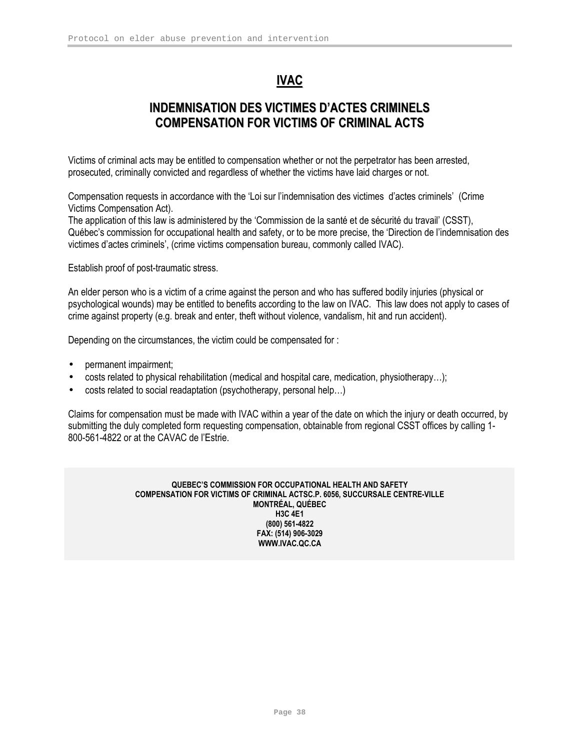# IVAC

# INDEMNISATION DES VICTIMES D'ACTES CRIMINELS COMPENSATION FOR VICTIMS OF CRIMINAL ACTS

Victims of criminal acts may be entitled to compensation whether or not the perpetrator has been arrested, prosecuted, criminally convicted and regardless of whether the victims have laid charges or not.

Compensation requests in accordance with the 'Loi sur l'indemnisation des victimes d'actes criminels' (Crime Victims Compensation Act).

The application of this law is administered by the 'Commission de la santé et de sécurité du travail' (CSST), Québec's commission for occupational health and safety, or to be more precise, the 'Direction de l'indemnisation des victimes d'actes criminels', (crime victims compensation bureau, commonly called IVAC).

Establish proof of post-traumatic stress.

An elder person who is a victim of a crime against the person and who has suffered bodily injuries (physical or psychological wounds) may be entitled to benefits according to the law on IVAC. This law does not apply to cases of crime against property (e.g. break and enter, theft without violence, vandalism, hit and run accident).

Depending on the circumstances, the victim could be compensated for :

- permanent impairment;
- costs related to physical rehabilitation (medical and hospital care, medication, physiotherapy…);
- costs related to social readaptation (psychotherapy, personal help…)

Claims for compensation must be made with IVAC within a year of the date on which the injury or death occurred, by submitting the duly completed form requesting compensation, obtainable from regional CSST offices by calling 1- 800-561-4822 or at the CAVAC de l'Estrie.

> QUEBEC'S COMMISSION FOR OCCUPATIONAL HEALTH AND SAFETY COMPENSATION FOR VICTIMS OF CRIMINAL ACTSC.P. 6056, SUCCURSALE CENTRE-VILLE MONTRÉAL, QUÉBEC H3C 4E1 (800) 561-4822 FAX: (514) 906-3029 WWW.IVAC.QC.CA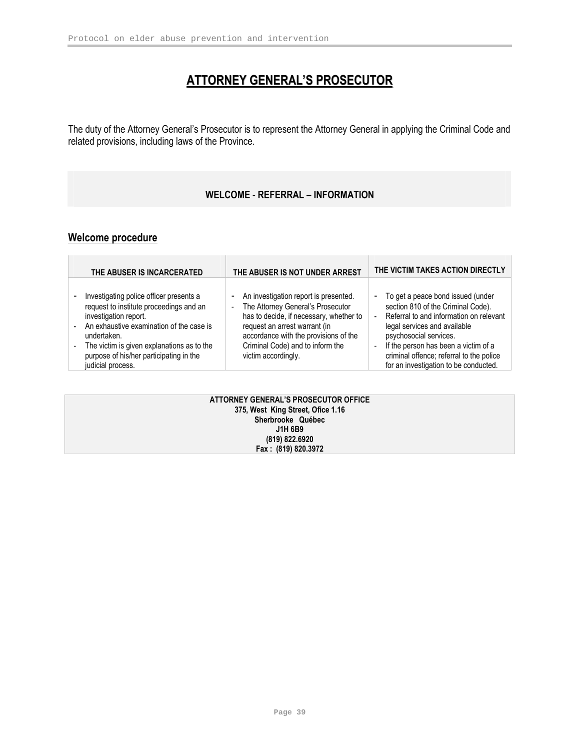# ATTORNEY GENERAL'S PROSECUTOR

The duty of the Attorney General's Prosecutor is to represent the Attorney General in applying the Criminal Code and related provisions, including laws of the Province.

### WELCOME - REFERRAL – INFORMATION

## Welcome procedure

| THE ABUSER IS INCARCERATED                                                                                                                                                                                                                                                             | THE ABUSER IS NOT UNDER ARREST                                                                                                                                                                                                                                                              | THE VICTIM TAKES ACTION DIRECTLY                                                                                                                                                                                                                                                                                                                                        |
|----------------------------------------------------------------------------------------------------------------------------------------------------------------------------------------------------------------------------------------------------------------------------------------|---------------------------------------------------------------------------------------------------------------------------------------------------------------------------------------------------------------------------------------------------------------------------------------------|-------------------------------------------------------------------------------------------------------------------------------------------------------------------------------------------------------------------------------------------------------------------------------------------------------------------------------------------------------------------------|
| Investigating police officer presents a<br>request to institute proceedings and an<br>investigation report.<br>- An exhaustive examination of the case is<br>undertaken.<br>The victim is given explanations as to the<br>purpose of his/her participating in the<br>judicial process. | An investigation report is presented.<br>٠<br>The Attorney General's Prosecutor<br>$\overline{\phantom{0}}$<br>has to decide, if necessary, whether to<br>request an arrest warrant (in<br>accordance with the provisions of the<br>Criminal Code) and to inform the<br>victim accordingly. | To get a peace bond issued (under<br>$\overline{\phantom{a}}$<br>section 810 of the Criminal Code).<br>Referral to and information on relevant<br>Ĭ.<br>legal services and available<br>psychosocial services.<br>If the person has been a victim of a<br>$\overline{\phantom{m}}$<br>criminal offence; referral to the police<br>for an investigation to be conducted. |

| ATTORNEY GENERAL'S PROSECUTOR OFFICE |  |
|--------------------------------------|--|
| 375, West King Street, Ofice 1.16    |  |
| Sherbrooke Québec                    |  |
| J1H 6B9                              |  |
| (819) 822.6920                       |  |
| Fax: (819) 820.3972                  |  |
|                                      |  |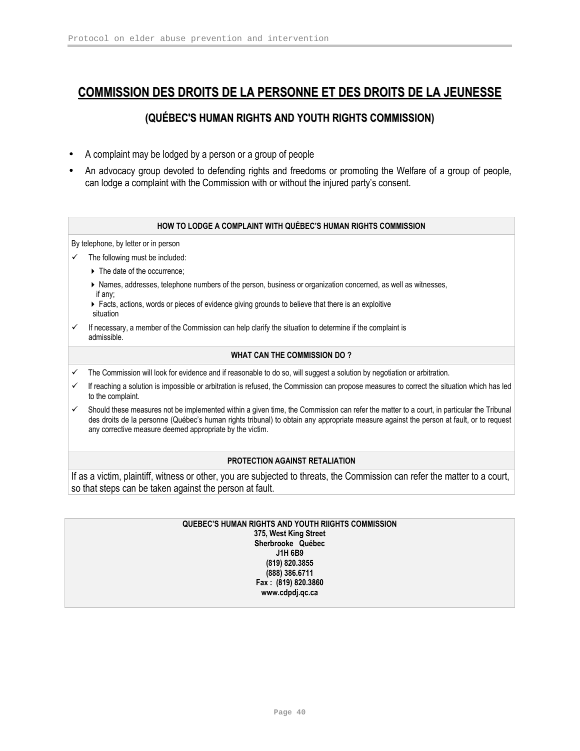# COMMISSION DES DROITS DE LA PERSONNE ET DES DROITS DE LA JEUNESSE

### (QUÉBEC'S HUMAN RIGHTS AND YOUTH RIGHTS COMMISSION)

- A complaint may be lodged by a person or a group of people
- An advocacy group devoted to defending rights and freedoms or promoting the Welfare of a group of people, can lodge a complaint with the Commission with or without the injured party's consent.

#### HOW TO LODGE A COMPLAINT WITH QUÉBEC'S HUMAN RIGHTS COMMISSION

By telephone, by letter or in person

- $\checkmark$  The following must be included:
	- $\triangleright$  The date of the occurrence;
	- Names, addresses, telephone numbers of the person, business or organization concerned, as well as witnesses, if any;
	- ▶ Facts, actions, words or pieces of evidence giving grounds to believe that there is an exploitive situation
- $\checkmark$  If necessary, a member of the Commission can help clarify the situation to determine if the complaint is admissible.

#### WHAT CAN THE COMMISSION DO ?

- The Commission will look for evidence and if reasonable to do so, will suggest a solution by negotiation or arbitration.
- $\checkmark$  If reaching a solution is impossible or arbitration is refused, the Commission can propose measures to correct the situation which has led to the complaint.
- Should these measures not be implemented within a given time, the Commission can refer the matter to a court, in particular the Tribunal des droits de la personne (Québec's human rights tribunal) to obtain any appropriate measure against the person at fault, or to request any corrective measure deemed appropriate by the victim.

#### PROTECTION AGAINST RETALIATION

If as a victim, plaintiff, witness or other, you are subjected to threats, the Commission can refer the matter to a court, so that steps can be taken against the person at fault.

#### QUEBEC'S HUMAN RIGHTS AND YOUTH RIIGHTS COMMISSION 375, West King Street Sherbrooke Québec J1H 6B9 (819) 820.3855 (888) 386.6711

Fax : (819) 820.3860 www.cdpdj.qc.ca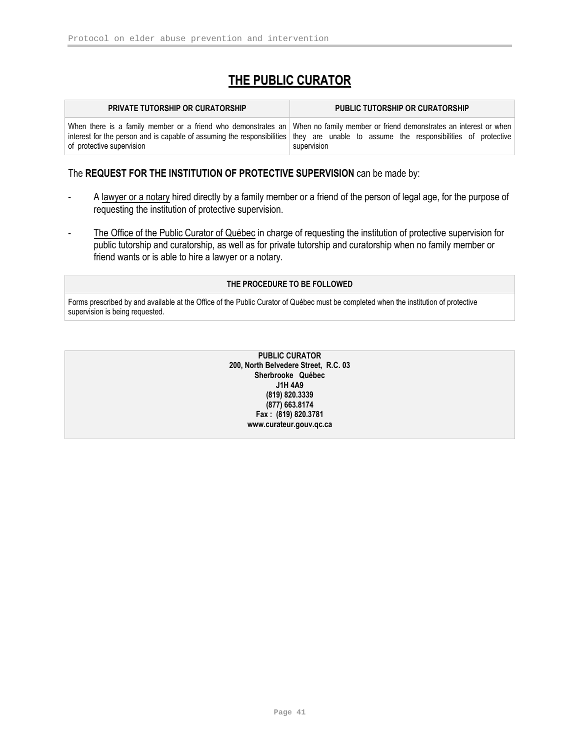# THE PUBLIC CURATOR

| <b>PRIVATE TUTORSHIP OR CURATORSHIP</b> | <b>PUBLIC TUTORSHIP OR CURATORSHIP</b>                                                                                                                                                                                                                                                |
|-----------------------------------------|---------------------------------------------------------------------------------------------------------------------------------------------------------------------------------------------------------------------------------------------------------------------------------------|
| of protective supervision               | When there is a family member or a friend who demonstrates an When no family member or friend demonstrates an interest or when<br>interest for the person and is capable of assuming the responsibilities they are unable to assume the responsibilities of protective<br>supervision |

#### The REQUEST FOR THE INSTITUTION OF PROTECTIVE SUPERVISION can be made by:

- A lawyer or a notary hired directly by a family member or a friend of the person of legal age, for the purpose of requesting the institution of protective supervision.
- The Office of the Public Curator of Québec in charge of requesting the institution of protective supervision for public tutorship and curatorship, as well as for private tutorship and curatorship when no family member or friend wants or is able to hire a lawyer or a notary.

#### THE PROCEDURE TO BE FOLLOWED

Forms prescribed by and available at the Office of the Public Curator of Québec must be completed when the institution of protective supervision is being requested.

> PUBLIC CURATOR 200, North Belvedere Street, R.C. 03 Sherbrooke Québec J1H 4A9 (819) 820.3339 (877) 663.8174 Fax : (819) 820.3781 www.curateur.gouv.qc.ca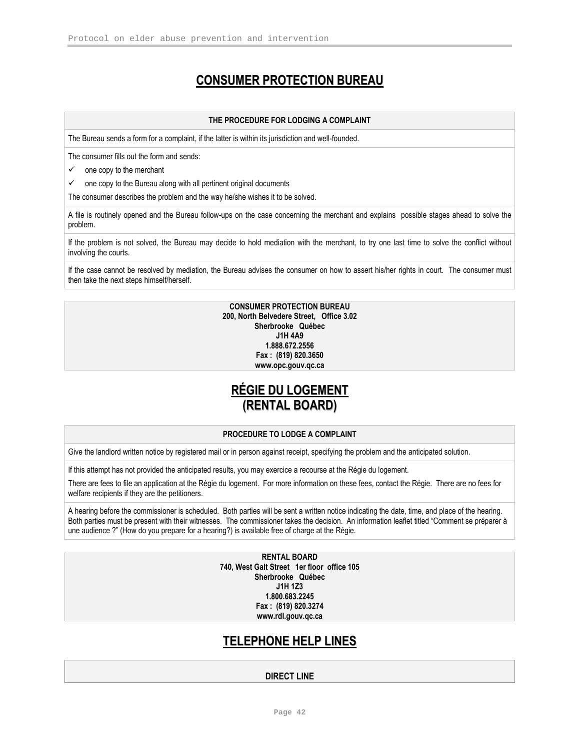# CONSUMER PROTECTION BUREAU

#### THE PROCEDURE FOR LODGING A COMPLAINT

The Bureau sends a form for a complaint, if the latter is within its jurisdiction and well-founded.

The consumer fills out the form and sends:

 $\checkmark$ one copy to the merchant

 $\checkmark$ one copy to the Bureau along with all pertinent original documents

The consumer describes the problem and the way he/she wishes it to be solved.

A file is routinely opened and the Bureau follow-ups on the case concerning the merchant and explains possible stages ahead to solve the problem.

If the problem is not solved, the Bureau may decide to hold mediation with the merchant, to try one last time to solve the conflict without involving the courts.

If the case cannot be resolved by mediation, the Bureau advises the consumer on how to assert his/her rights in court. The consumer must then take the next steps himself/herself.

#### CONSUMER PROTECTION BUREAU 200, North Belvedere Street, Office 3.02 Sherbrooke Québec J1H 4A9 1.888.672.2556 Fax : (819) 820.3650 www.opc.gouv.qc.ca

# RÉGIE DU LOGEMENT (RENTAL BOARD)

#### PROCEDURE TO LODGE A COMPLAINT

Give the landlord written notice by registered mail or in person against receipt, specifying the problem and the anticipated solution.

If this attempt has not provided the anticipated results, you may exercice a recourse at the Régie du logement.

There are fees to file an application at the Régie du logement. For more information on these fees, contact the Régie. There are no fees for welfare recipients if they are the petitioners.

A hearing before the commissioner is scheduled. Both parties will be sent a written notice indicating the date, time, and place of the hearing. Both parties must be present with their witnesses. The commissioner takes the decision. An information leaflet titled "Comment se préparer à une audience ?" (How do you prepare for a hearing?) is available free of charge at the Régie.

> RENTAL BOARD 740, West Galt Street 1er floor office 105 Sherbrooke Québec J1H 1Z3 1.800.683.2245 Fax : (819) 820.3274 www.rdl.gouv.qc.ca

# TELEPHONE HELP LINES

#### DIRECT LINE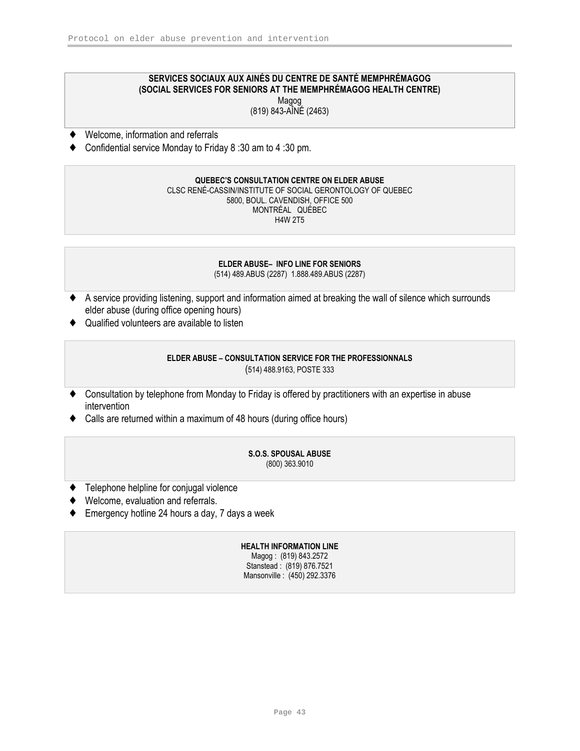#### SERVICES SOCIAUX AUX AINÉS DU CENTRE DE SANTÉ MEMPHRÉMAGOG (SOCIAL SERVICES FOR SENIORS AT THE MEMPHRÉMAGOG HEALTH CENTRE) Magog

(819) 843-AÎNÉ (2463)

- ♦ Welcome, information and referrals
- ♦ Confidential service Monday to Friday 8 :30 am to 4 :30 pm.

#### QUEBEC'S CONSULTATION CENTRE ON ELDER ABUSE CLSC RENÉ-CASSIN/INSTITUTE OF SOCIAL GERONTOLOGY OF QUEBEC 5800, BOUL. CAVENDISH, OFFICE 500 MONTRÉAL QUÉBEC H4W 2T5

#### ELDER ABUSE– INFO LINE FOR SENIORS (514) 489.ABUS (2287) 1.888.489.ABUS (2287)

- ♦ A service providing listening, support and information aimed at breaking the wall of silence which surrounds elder abuse (during office opening hours)
- ♦ Qualified volunteers are available to listen

# ELDER ABUSE – CONSULTATION SERVICE FOR THE PROFESSIONNALS

(514) 488.9163, POSTE 333

- ♦ Consultation by telephone from Monday to Friday is offered by practitioners with an expertise in abuse intervention
- ♦ Calls are returned within a maximum of 48 hours (during office hours)

#### S.O.S. SPOUSAL ABUSE (800) 363.9010

- ♦ Telephone helpline for conjugal violence
- Welcome, evaluation and referrals.
- ♦ Emergency hotline 24 hours a day, 7 days a week

# HEALTH INFORMATION LINE

Magog : (819) 843.2572 Stanstead : (819) 876.7521 Mansonville : (450) 292.3376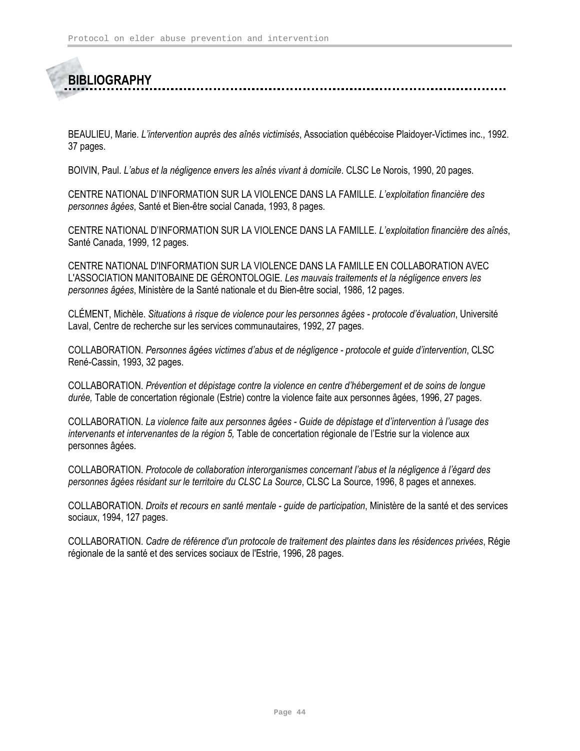# **BIBLIOGRAPHY**

BEAULIEU, Marie. L'intervention auprès des aînés victimisés, Association québécoise Plaidoyer-Victimes inc., 1992. 37 pages.

BOIVIN, Paul. L'abus et la négligence envers les aînés vivant à domicile. CLSC Le Norois, 1990, 20 pages.

CENTRE NATIONAL D'INFORMATION SUR LA VIOLENCE DANS LA FAMILLE. L'exploitation financière des personnes âgées, Santé et Bien-être social Canada, 1993, 8 pages.

CENTRE NATIONAL D'INFORMATION SUR LA VIOLENCE DANS LA FAMILLE. L'exploitation financière des aînés, Santé Canada, 1999, 12 pages.

CENTRE NATIONAL D'INFORMATION SUR LA VIOLENCE DANS LA FAMILLE EN COLLABORATION AVEC L'ASSOCIATION MANITOBAINE DE GÉRONTOLOGIE. Les mauvais traitements et la négligence envers les personnes âgées, Ministère de la Santé nationale et du Bien-être social, 1986, 12 pages.

CLÉMENT, Michèle. Situations à risque de violence pour les personnes âgées - protocole d'évaluation, Université Laval, Centre de recherche sur les services communautaires, 1992, 27 pages.

COLLABORATION. Personnes âgées victimes d'abus et de négligence - protocole et guide d'intervention, CLSC René-Cassin, 1993, 32 pages.

COLLABORATION. Prévention et dépistage contre la violence en centre d'hébergement et de soins de longue durée, Table de concertation régionale (Estrie) contre la violence faite aux personnes âgées, 1996, 27 pages.

COLLABORATION. La violence faite aux personnes âgées - Guide de dépistage et d'intervention à l'usage des intervenants et intervenantes de la région 5, Table de concertation régionale de l'Estrie sur la violence aux personnes âgées.

COLLABORATION. Protocole de collaboration interorganismes concernant l'abus et la négligence à l'égard des personnes âgées résidant sur le territoire du CLSC La Source, CLSC La Source, 1996, 8 pages et annexes.

COLLABORATION. Droits et recours en santé mentale - guide de participation, Ministère de la santé et des services sociaux, 1994, 127 pages.

COLLABORATION. Cadre de référence d'un protocole de traitement des plaintes dans les résidences privées, Régie régionale de la santé et des services sociaux de l'Estrie, 1996, 28 pages.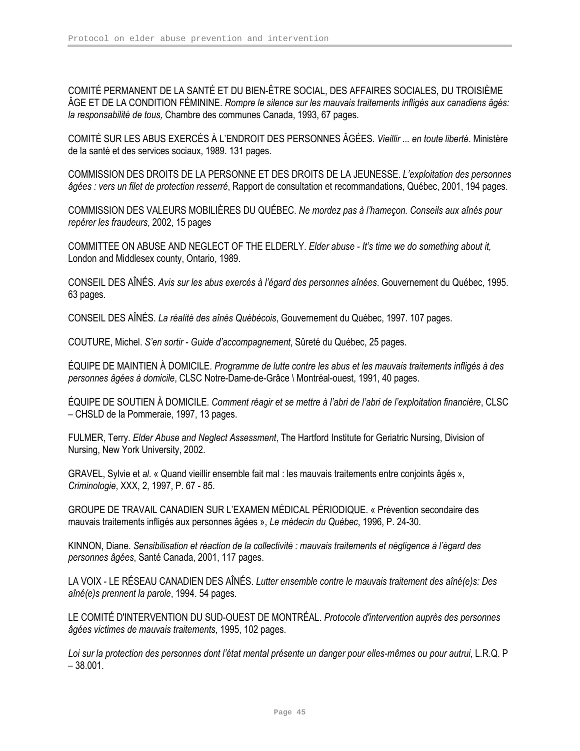COMITÉ PERMANENT DE LA SANTÉ ET DU BIEN-ÊTRE SOCIAL, DES AFFAIRES SOCIALES, DU TROISIÈME ÂGE ET DE LA CONDITION FÉMININE. Rompre le silence sur les mauvais traitements infligés aux canadiens âgés: la responsabilité de tous, Chambre des communes Canada, 1993, 67 pages.

COMITÉ SUR LES ABUS EXERCÉS À L'ENDROIT DES PERSONNES ÂGÉES. Vieillir ... en toute liberté. Ministère de la santé et des services sociaux, 1989. 131 pages.

COMMISSION DES DROITS DE LA PERSONNE ET DES DROITS DE LA JEUNESSE. L'exploitation des personnes âgées : vers un filet de protection resserré, Rapport de consultation et recommandations, Québec, 2001, 194 pages.

COMMISSION DES VALEURS MOBILIÈRES DU QUÉBEC. Ne mordez pas à l'hameçon. Conseils aux aînés pour repérer les fraudeurs, 2002, 15 pages

COMMITTEE ON ABUSE AND NEGLECT OF THE ELDERLY. Elder abuse - It's time we do something about it, London and Middlesex county, Ontario, 1989.

CONSEIL DES AÎNÉS. Avis sur les abus exercés à l'égard des personnes aînées. Gouvernement du Québec, 1995. 63 pages.

CONSEIL DES AÎNÉS. La réalité des aînés Québécois, Gouvernement du Québec, 1997. 107 pages.

COUTURE, Michel. S'en sortir - Guide d'accompagnement, Sûreté du Québec, 25 pages.

ÉQUIPE DE MAINTIEN À DOMICILE. Programme de lutte contre les abus et les mauvais traitements infligés à des personnes âgées à domicile, CLSC Notre-Dame-de-Grâce \ Montréal-ouest, 1991, 40 pages.

ÉQUIPE DE SOUTIEN À DOMICILE. Comment réagir et se mettre à l'abri de l'abri de l'exploitation financière, CLSC – CHSLD de la Pommeraie, 1997, 13 pages.

FULMER, Terry. Elder Abuse and Neglect Assessment, The Hartford Institute for Geriatric Nursing, Division of Nursing, New York University, 2002.

GRAVEL, Sylvie et al. « Quand vieillir ensemble fait mal : les mauvais traitements entre conjoints âgés », Criminologie, XXX, 2, 1997, P. 67 - 85.

GROUPE DE TRAVAIL CANADIEN SUR L'EXAMEN MÉDICAL PÉRIODIQUE. « Prévention secondaire des mauvais traitements infligés aux personnes âgées », Le médecin du Québec, 1996, P. 24-30.

KINNON, Diane. Sensibilisation et réaction de la collectivité : mauvais traitements et négligence à l'égard des personnes âgées, Santé Canada, 2001, 117 pages.

LA VOIX - LE RÉSEAU CANADIEN DES AÎNÉS. Lutter ensemble contre le mauvais traitement des aîné(e)s: Des aîné(e)s prennent la parole, 1994. 54 pages.

LE COMITÉ D'INTERVENTION DU SUD-OUEST DE MONTRÉAL. Protocole d'intervention auprès des personnes âgées victimes de mauvais traitements, 1995, 102 pages.

Loi sur la protection des personnes dont l'état mental présente un danger pour elles-mêmes ou pour autrui, L.R.Q. P  $-38.001.$